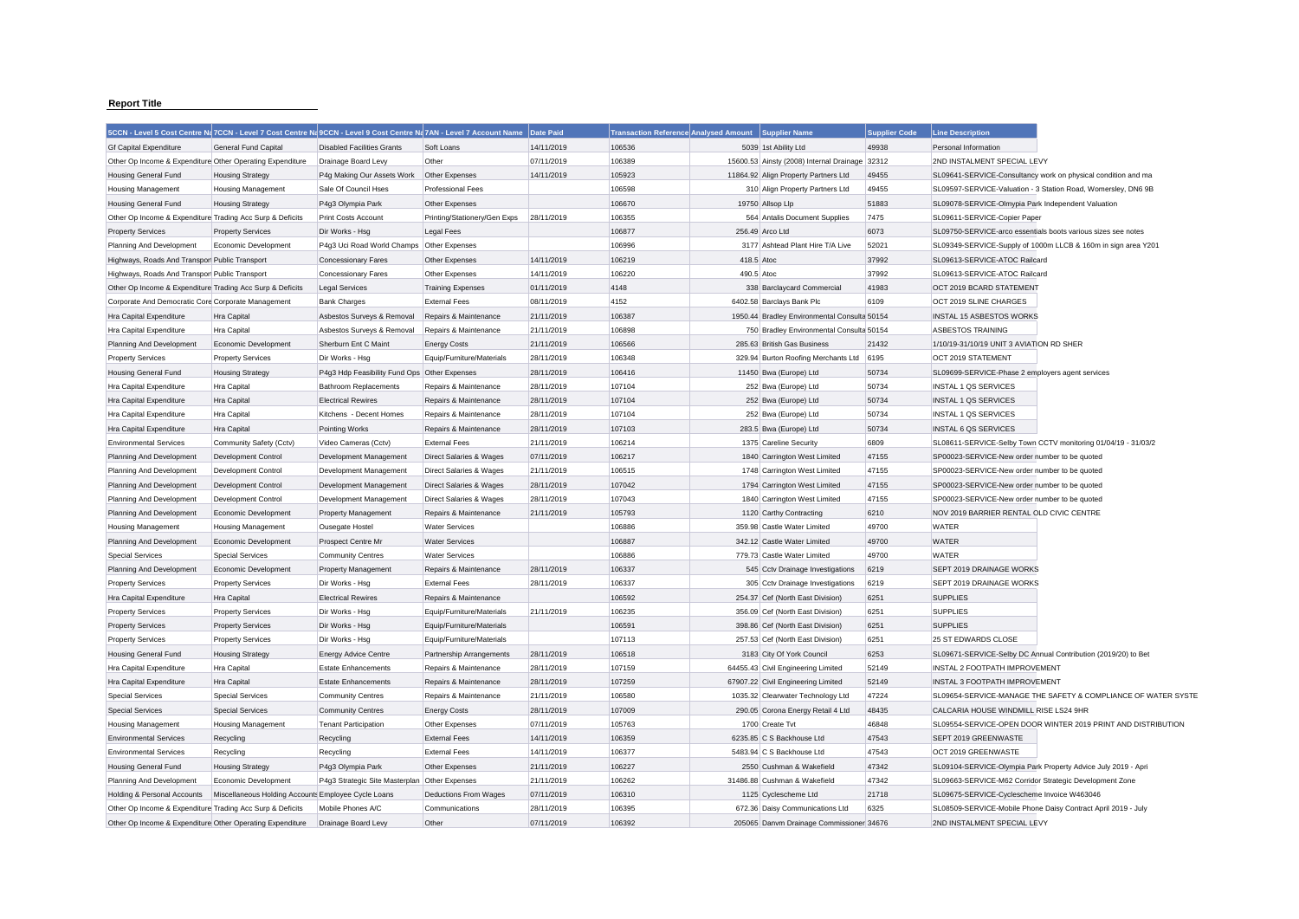## **Report Title**

| 5CCN - Level 5 Cost Centre Na 7CCN - Level 7 Cost Centre Na 9CCN - Level 9 Cost Centre Na 7AN - Level 7 Account Name Date Paid |                                                     |                                               |                                    |            | <b>Transaction Reference Analysed Amount</b> |            | <b>Supplier Name</b>                           | <b>Supplier Code</b> | <b>Line Description</b>                                       |
|--------------------------------------------------------------------------------------------------------------------------------|-----------------------------------------------------|-----------------------------------------------|------------------------------------|------------|----------------------------------------------|------------|------------------------------------------------|----------------------|---------------------------------------------------------------|
| <b>Gf Capital Expenditure</b>                                                                                                  | <b>General Fund Capital</b>                         | <b>Disabled Facilities Grants</b>             | Soft Loans                         | 14/11/2019 | 106536                                       |            | 5039 1st Ability Ltd                           | 49938                | Personal Information                                          |
| Other Op Income & Expenditure Other Operating Expenditure                                                                      |                                                     | Drainage Board Levy                           | Other                              | 07/11/2019 | 106389                                       |            | 15600.53 Ainsty (2008) Internal Drainage 32312 |                      | 2ND INSTALMENT SPECIAL LEVY                                   |
| <b>Housing General Fund</b>                                                                                                    | <b>Housing Strategy</b>                             | P4g Making Our Assets Work                    | Other Expenses                     | 14/11/2019 | 105923                                       |            | 11864.92 Align Property Partners Ltd           | 49455                | SL09641-SERVICE-Consultancy work on physical condition and ma |
| <b>Housing Management</b>                                                                                                      | <b>Housing Management</b>                           | Sale Of Council Hses                          | <b>Professional Fees</b>           |            | 106598                                       |            | 310 Align Property Partners Ltd                | 49455                | SL09597-SERVICE-Valuation - 3 Station Road, Womersley, DN6 9B |
| <b>Housing General Fund</b>                                                                                                    | <b>Housing Strategy</b>                             | P4g3 Olympia Park                             | Other Expenses                     |            | 106670                                       |            | 19750 Allsop Lip                               | 51883                | SL09078-SERVICE-Olmypia Park Independent Valuation            |
| Other Op Income & Expenditure Trading Acc Surp & Deficits                                                                      |                                                     | Print Costs Account                           | Printing/Stationery/Gen Exps       | 28/11/2019 | 106355                                       |            | 564 Antalis Document Supplies                  | 7475                 | SL09611-SERVICE-Copier Paper                                  |
| <b>Property Services</b>                                                                                                       | <b>Property Services</b>                            | Dir Works - Hsg                               | <b>Legal Fees</b>                  |            | 106877                                       |            | 256.49 Arco Ltd                                | 6073                 | SL09750-SERVICE-arco essentials boots various sizes see notes |
| Planning And Development                                                                                                       | Economic Development                                | P4g3 Uci Road World Champs Other Expenses     |                                    |            | 106996                                       |            | 3177 Ashtead Plant Hire T/A Live               | 52021                | SL09349-SERVICE-Supply of 1000m LLCB & 160m in sign area Y201 |
| Highways, Roads And Transpor Public Transport                                                                                  |                                                     | <b>Concessionary Fares</b>                    | Other Expenses                     | 14/11/2019 | 106219                                       | 418.5 Atoc |                                                | 37992                | SL09613-SERVICE-ATOC Railcard                                 |
| Highways, Roads And Transpor Public Transport                                                                                  |                                                     | Concessionary Fares                           | Other Expenses                     | 14/11/2019 | 106220                                       | 490.5 Atoc |                                                | 37992                | SL09613-SERVICE-ATOC Railcard                                 |
| Other Op Income & Expenditure Trading Acc Surp & Deficits                                                                      |                                                     | <b>Legal Services</b>                         | <b>Training Expenses</b>           | 01/11/2019 | 4148                                         |            | 338 Barclaycard Commercial                     | 41983                | OCT 2019 BCARD STATEMENT                                      |
| Corporate And Democratic Core Corporate Management                                                                             |                                                     | <b>Bank Charges</b>                           | <b>External Fees</b>               | 08/11/2019 | 4152                                         |            | 6402.58 Barclays Bank Plc                      | 6109                 | OCT 2019 SLINE CHARGES                                        |
| Hra Capital Expenditure                                                                                                        | Hra Capital                                         | Asbestos Surveys & Removal                    | Repairs & Maintenance              | 21/11/2019 | 106387                                       |            | 1950.44 Bradley Environmental Consulta 50154   |                      | <b>INSTAL 15 ASBESTOS WORKS</b>                               |
| Hra Capital Expenditure                                                                                                        | Hra Capital                                         | Asbestos Surveys & Removal                    | Repairs & Maintenance              | 21/11/2019 | 106898                                       |            | 750 Bradley Environmental Consulta 50154       |                      | <b>ASBESTOS TRAINING</b>                                      |
| Planning And Development                                                                                                       | Economic Development                                | Sherburn Ent C Maint                          | <b>Energy Costs</b>                | 21/11/2019 | 106566                                       |            | 285.63 British Gas Business                    | 21432                | 1/10/19-31/10/19 UNIT 3 AVIATION RD SHER                      |
| <b>Property Services</b>                                                                                                       | <b>Property Services</b>                            | Dir Works - Hsg                               | Equip/Furniture/Materials          | 28/11/2019 | 106348                                       |            | 329.94 Burton Roofing Merchants Ltd            | 6195                 | OCT 2019 STATEMENT                                            |
| <b>Housing General Fund</b>                                                                                                    | <b>Housing Strategy</b>                             | P4g3 Hdp Feasibility Fund Ops Other Expenses  |                                    | 28/11/2019 | 106416                                       |            | 11450 Bwa (Europe) Ltd                         | 50734                | SL09699-SERVICE-Phase 2 employers agent services              |
| Hra Capital Expenditure                                                                                                        | <b>Hra Capital</b>                                  | <b>Bathroom Replacements</b>                  | Repairs & Maintenance              | 28/11/2019 | 107104                                       |            | 252 Bwa (Europe) Ltd                           | 50734                | INSTAL 1 QS SERVICES                                          |
| Hra Capital Expenditure                                                                                                        | Hra Capital                                         | <b>Electrical Rewires</b>                     | Repairs & Maintenance              | 28/11/2019 | 107104                                       |            | 252 Bwa (Europe) Ltd                           | 50734                | INSTAL 1 QS SERVICES                                          |
|                                                                                                                                |                                                     |                                               |                                    |            | 107104                                       |            |                                                |                      | INSTAL 1 QS SERVICES                                          |
| Hra Capital Expenditure                                                                                                        | Hra Capital                                         | Kitchens - Decent Homes                       | Repairs & Maintenance              | 28/11/2019 | 107103                                       |            | 252 Bwa (Europe) Ltd                           | 50734                |                                                               |
| Hra Capital Expenditure                                                                                                        | Hra Capital                                         | <b>Pointing Works</b>                         | Repairs & Maintenance              | 28/11/2019 |                                              |            | 283.5 Bwa (Europe) Ltd                         | 50734<br>6809        | INSTAL 6 QS SERVICES                                          |
| <b>Environmental Services</b>                                                                                                  | Community Safety (Cctv)                             | Video Cameras (Cctv)                          | <b>External Fees</b>               | 21/11/2019 | 106214                                       |            | 1375 Careline Security                         |                      | SL08611-SERVICE-Selby Town CCTV monitoring 01/04/19 - 31/03/2 |
| Planning And Development                                                                                                       | <b>Development Control</b>                          | Development Management                        | Direct Salaries & Wages            | 07/11/2019 | 106217                                       |            | 1840 Carrington West Limited                   | 47155                | SP00023-SERVICE-New order number to be quoted                 |
| Planning And Development                                                                                                       | <b>Development Control</b>                          | Development Management                        | Direct Salaries & Wages            | 21/11/2019 | 106515                                       |            | 1748 Carrington West Limited                   | 47155                | SP00023-SERVICE-New order number to be quoted                 |
| Planning And Development                                                                                                       | <b>Development Control</b>                          | Development Management                        | <b>Direct Salaries &amp; Wages</b> | 28/11/2019 | 107042                                       |            | 1794 Carrington West Limited                   | 47155                | SP00023-SERVICE-New order number to be quoted                 |
| Planning And Development                                                                                                       | Development Control                                 | Development Management                        | Direct Salaries & Wages            | 28/11/2019 | 107043                                       |            | 1840 Carrington West Limited                   | 47155                | SP00023-SERVICE-New order number to be quoted                 |
| Planning And Development                                                                                                       | Economic Development                                | <b>Property Management</b>                    | Repairs & Maintenance              | 21/11/2019 | 105793                                       |            | 1120 Carthy Contracting                        | 6210                 | NOV 2019 BARRIER RENTAL OLD CIVIC CENTRE                      |
| <b>Housing Management</b>                                                                                                      | <b>Housing Management</b>                           | Ousegate Hostel                               | <b>Water Services</b>              |            | 106886                                       |            | 359.98 Castle Water Limited                    | 49700                | <b>WATER</b>                                                  |
| Planning And Development                                                                                                       | Economic Development                                | Prospect Centre Mr                            | <b>Water Services</b>              |            | 106887                                       |            | 342.12 Castle Water Limited                    | 49700                | <b>WATER</b>                                                  |
| <b>Special Services</b>                                                                                                        | <b>Special Services</b>                             | <b>Community Centres</b>                      | <b>Water Services</b>              |            | 106886                                       |            | 779.73 Castle Water Limited                    | 49700                | <b>WATER</b>                                                  |
| Planning And Development                                                                                                       | Economic Development                                | <b>Property Management</b>                    | Repairs & Maintenance              | 28/11/2019 | 106337                                       |            | 545 Cctv Drainage Investigations               | 6219                 | SEPT 2019 DRAINAGE WORKS                                      |
| <b>Property Services</b>                                                                                                       | <b>Property Services</b>                            | Dir Works - Hsg                               | <b>External Fees</b>               | 28/11/2019 | 106337                                       |            | 305 Cctv Drainage Investigations               | 6219                 | SEPT 2019 DRAINAGE WORKS                                      |
| Hra Capital Expenditure                                                                                                        | Hra Capital                                         | <b>Electrical Rewires</b>                     | Repairs & Maintenance              |            | 106592                                       |            | 254.37 Cef (North East Division)               | 6251                 | <b>SUPPLIES</b>                                               |
| <b>Property Services</b>                                                                                                       | <b>Property Services</b>                            | Dir Works - Hsg                               | Equip/Furniture/Materials          | 21/11/2019 | 106235                                       |            | 356.09 Cef (North East Division)               | 6251                 | <b>SUPPLIES</b>                                               |
| <b>Property Services</b>                                                                                                       | <b>Property Services</b>                            | Dir Works - Hsg                               | Equip/Furniture/Materials          |            | 106591                                       |            | 398.86 Cef (North East Division)               | 6251                 | <b>SUPPLIES</b>                                               |
| <b>Property Services</b>                                                                                                       | <b>Property Services</b>                            | Dir Works - Hsg                               | Equip/Furniture/Materials          |            | 107113                                       |            | 257.53 Cef (North East Division)               | 6251                 | 25 ST EDWARDS CLOSE                                           |
| <b>Housing General Fund</b>                                                                                                    | <b>Housing Strategy</b>                             | <b>Energy Advice Centre</b>                   | Partnership Arrangements           | 28/11/2019 | 106518                                       |            | 3183 City Of York Council                      | 6253                 | SL09671-SERVICE-Selby DC Annual Contribution (2019/20) to Bet |
| Hra Capital Expenditure                                                                                                        | Hra Capital                                         | <b>Estate Enhancements</b>                    | Repairs & Maintenance              | 28/11/2019 | 107159                                       |            | 64455.43 Civil Engineering Limited             | 52149                | INSTAL 2 FOOTPATH IMPROVEMENT                                 |
| Hra Capital Expenditure                                                                                                        | Hra Capital                                         | <b>Estate Enhancements</b>                    | Repairs & Maintenance              | 28/11/2019 | 107259                                       |            | 67907.22 Civil Engineering Limited             | 52149                | INSTAL 3 FOOTPATH IMPROVEMENT                                 |
| <b>Special Services</b>                                                                                                        | <b>Special Services</b>                             | <b>Community Centres</b>                      | Repairs & Maintenance              | 21/11/2019 | 106580                                       |            | 1035.32 Clearwater Technology Ltd              | 47224                | SL09654-SERVICE-MANAGE THE SAFETY & COMPLIANCE OF WATER SYSTE |
| <b>Special Services</b>                                                                                                        | <b>Special Services</b>                             | <b>Community Centres</b>                      | <b>Energy Costs</b>                | 28/11/2019 | 107009                                       |            | 290.05 Corona Energy Retail 4 Ltd              | 48435                | CALCARIA HOUSE WINDMILL RISE LS24 9HR                         |
| <b>Housing Management</b>                                                                                                      | <b>Housing Management</b>                           | <b>Tenant Participation</b>                   | Other Expenses                     | 07/11/2019 | 105763                                       |            | 1700 Create Tvt                                | 46848                | SL09554-SERVICE-OPEN DOOR WINTER 2019 PRINT AND DISTRIBUTION  |
| <b>Environmental Services</b>                                                                                                  | Recycling                                           | Recycling                                     | <b>External Fees</b>               | 14/11/2019 | 106359                                       |            | 6235.85 C S Backhouse Ltd                      | 47543                | SEPT 2019 GREENWASTE                                          |
| <b>Environmental Services</b>                                                                                                  | Recycling                                           | Recycling                                     | <b>External Fees</b>               | 14/11/2019 | 106377                                       |            | 5483.94 C S Backhouse Ltd                      | 47543                | OCT 2019 GREENWASTE                                           |
| <b>Housing General Fund</b>                                                                                                    | <b>Housing Strategy</b>                             | P4q3 Olympia Park                             | Other Expenses                     | 21/11/2019 | 106227                                       |            | 2550 Cushman & Wakefield                       | 47342                | SL09104-SERVICE-Olympia Park Property Advice July 2019 - Apri |
| Planning And Development                                                                                                       | Economic Development                                | P4g3 Strategic Site Masterplan Other Expenses |                                    | 21/11/2019 | 106262                                       |            | 31486.88 Cushman & Wakefield                   | 47342                | SL09663-SERVICE-M62 Corridor Strategic Development Zone       |
| Holding & Personal Accounts                                                                                                    | Miscellaneous Holding Accounts Employee Cycle Loans |                                               | <b>Deductions From Wages</b>       | 07/11/2019 | 106310                                       |            | 1125 Cyclescheme Ltd                           | 21718                | SL09675-SERVICE-Cyclescheme Invoice W463046                   |
| Other Op Income & Expenditure Trading Acc Surp & Deficits                                                                      |                                                     | Mobile Phones A/C                             | Communications                     | 28/11/2019 | 106395                                       |            | 672.36 Daisy Communications Ltd                | 6325                 | SL08509-SERVICE-Mobile Phone Daisy Contract April 2019 - July |
| Other Op Income & Expenditure Other Operating Expenditure                                                                      |                                                     | Drainage Board Levy                           | Other                              | 07/11/2019 | 106392                                       |            | 205065 Danym Drainage Commissioner 34676       |                      | 2ND INSTALMENT SPECIAL LEVY                                   |
|                                                                                                                                |                                                     |                                               |                                    |            |                                              |            |                                                |                      |                                                               |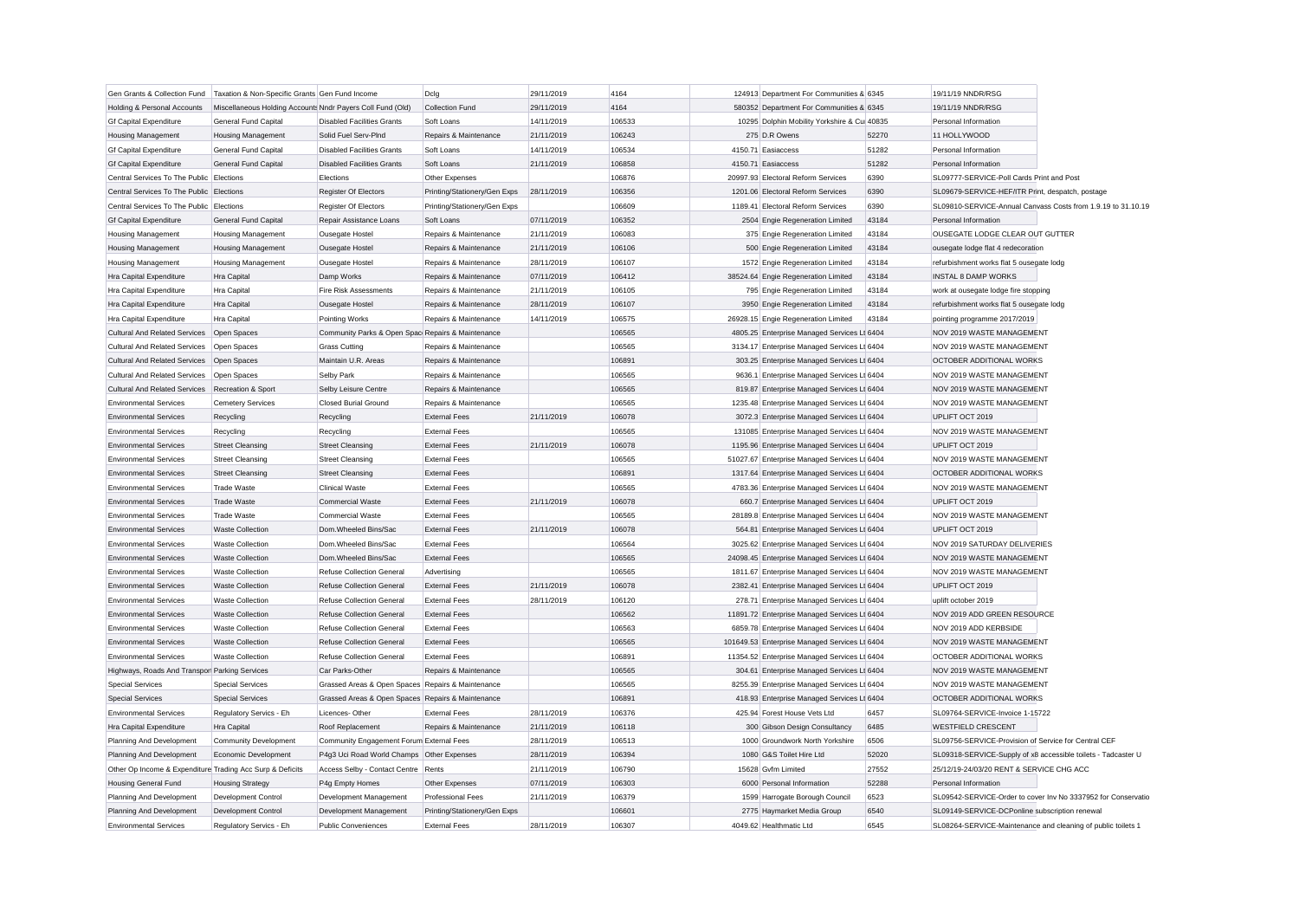| Gen Grants & Collection Fund                              | Taxation & Non-Specific Grants Gen Fund Income             |                                                   | Dclg                         | 29/11/2019 | 4164   | 124913 Department For Communities & 6345      |       | 19/11/19 NNDR/RSG                                             |                                                               |
|-----------------------------------------------------------|------------------------------------------------------------|---------------------------------------------------|------------------------------|------------|--------|-----------------------------------------------|-------|---------------------------------------------------------------|---------------------------------------------------------------|
| Holding & Personal Accounts                               | Miscellaneous Holding Accounts Nndr Payers Coll Fund (Old) |                                                   | <b>Collection Fund</b>       | 29/11/2019 | 4164   | 580352 Department For Communities & 6345      |       | 19/11/19 NNDR/RSG                                             |                                                               |
| <b>Gf Capital Expenditure</b>                             | General Fund Capital                                       | <b>Disabled Facilities Grants</b>                 | Soft Loans                   | 14/11/2019 | 106533 | 10295 Dolphin Mobility Yorkshire & Cui 40835  |       | Personal Information                                          |                                                               |
| <b>Housing Management</b>                                 | <b>Housing Management</b>                                  | Solid Fuel Serv-PInd                              | Repairs & Maintenance        | 21/11/2019 | 106243 | 275 D.R Owens                                 | 52270 | 11 HOLLYWOOD                                                  |                                                               |
| <b>Gf Capital Expenditure</b>                             | General Fund Capital                                       | <b>Disabled Facilities Grants</b>                 | Soft Loans                   | 14/11/2019 | 106534 | 4150.71 Easiaccess                            | 51282 | Personal Information                                          |                                                               |
| <b>Gf Capital Expenditure</b>                             | <b>General Fund Capital</b>                                | <b>Disabled Facilities Grants</b>                 | Soft Loans                   | 21/11/2019 | 106858 | 4150.71 Easiaccess                            | 51282 | Personal Information                                          |                                                               |
| Central Services To The Public Elections                  |                                                            | Elections                                         | Other Expenses               |            | 106876 | 20997.93 Electoral Reform Services            | 6390  | SL09777-SERVICE-Poll Cards Print and Post                     |                                                               |
| Central Services To The Public Elections                  |                                                            | Register Of Electors                              | Printing/Stationery/Gen Exps | 28/11/2019 | 106356 | 1201.06 Electoral Reform Services             | 6390  | SL09679-SERVICE-HEF/ITR Print, despatch, postage              |                                                               |
| Central Services To The Public Elections                  |                                                            | <b>Register Of Electors</b>                       | Printing/Stationery/Gen Exps |            | 106609 | 1189.41 Electoral Reform Services             | 6390  |                                                               | SL09810-SERVICE-Annual Canvass Costs from 1.9.19 to 31.10.19  |
| <b>Gf Capital Expenditure</b>                             | General Fund Capital                                       | Repair Assistance Loans                           | Soft Loans                   | 07/11/2019 | 106352 | 2504 Engie Regeneration Limited               | 43184 | Personal Information                                          |                                                               |
| <b>Housing Management</b>                                 | <b>Housing Management</b>                                  | <b>Ousegate Hostel</b>                            | Repairs & Maintenance        | 21/11/2019 | 106083 | 375 Engie Regeneration Limited                | 43184 | OUSEGATE LODGE CLEAR OUT GUTTER                               |                                                               |
| <b>Housing Management</b>                                 | <b>Housing Management</b>                                  | <b>Ousegate Hostel</b>                            | Repairs & Maintenance        | 21/11/2019 | 106106 | 500 Engie Regeneration Limited                | 43184 | ousegate lodge flat 4 redecoration                            |                                                               |
| <b>Housing Management</b>                                 | <b>Housing Management</b>                                  | Ousegate Hostel                                   | Repairs & Maintenance        | 28/11/2019 | 106107 | 1572 Engie Regeneration Limited               | 43184 | refurbishment works flat 5 ousegate lodg                      |                                                               |
| Hra Capital Expenditure                                   | Hra Capital                                                | Damp Works                                        | Repairs & Maintenance        | 07/11/2019 | 106412 | 38524.64 Engie Regeneration Limited           | 43184 | <b>INSTAL 8 DAMP WORKS</b>                                    |                                                               |
| Hra Capital Expenditure                                   | Hra Capital                                                | Fire Risk Assessments                             | Repairs & Maintenance        | 21/11/2019 | 106105 | 795 Engie Regeneration Limited                | 43184 | work at ousegate lodge fire stopping                          |                                                               |
| Hra Capital Expenditure                                   | Hra Capital                                                | Ousegate Hostel                                   | Repairs & Maintenance        | 28/11/2019 | 106107 | 3950 Engie Regeneration Limited               | 43184 | refurbishment works flat 5 ousegate lodg                      |                                                               |
| Hra Capital Expenditure                                   | Hra Capital                                                | Pointing Works                                    | Repairs & Maintenance        | 14/11/2019 | 106575 | 26928.15 Engie Regeneration Limited           | 43184 | pointing programme 2017/2019                                  |                                                               |
| <b>Cultural And Related Services</b>                      | Open Spaces                                                | Community Parks & Open Spac Repairs & Maintenance |                              |            | 106565 | 4805.25 Enterprise Managed Services Lt 6404   |       | NOV 2019 WASTE MANAGEMENT                                     |                                                               |
| <b>Cultural And Related Services</b>                      | Open Spaces                                                | <b>Grass Cutting</b>                              | Repairs & Maintenance        |            | 106565 | 3134.17 Enterprise Managed Services Lt 6404   |       | NOV 2019 WASTE MANAGEMENT                                     |                                                               |
| <b>Cultural And Related Services</b>                      | Open Spaces                                                | Maintain U.R. Areas                               | Repairs & Maintenance        |            | 106891 | 303.25 Enterprise Managed Services Lt 6404    |       | OCTOBER ADDITIONAL WORKS                                      |                                                               |
| <b>Cultural And Related Services</b>                      | Open Spaces                                                | Selby Park                                        | Repairs & Maintenance        |            | 106565 | 9636.1 Enterprise Managed Services Lt 6404    |       | NOV 2019 WASTE MANAGEMENT                                     |                                                               |
| <b>Cultural And Related Services</b>                      | Recreation & Sport                                         | Selby Leisure Centre                              | Repairs & Maintenance        |            | 106565 | 819.87 Enterprise Managed Services Lt 6404    |       | NOV 2019 WASTE MANAGEMENT                                     |                                                               |
| <b>Environmental Services</b>                             | <b>Cemetery Services</b>                                   | <b>Closed Burial Ground</b>                       | Repairs & Maintenance        |            | 106565 | 1235.48 Enterprise Managed Services Lt 6404   |       | NOV 2019 WASTE MANAGEMENT                                     |                                                               |
| <b>Environmental Services</b>                             | Recycling                                                  | Recycling                                         | <b>External Fees</b>         | 21/11/2019 | 106078 | 3072.3 Enterprise Managed Services Lt 6404    |       | UPLIFT OCT 2019                                               |                                                               |
| <b>Environmental Services</b>                             | Recycling                                                  | Recycling                                         | <b>External Fees</b>         |            | 106565 | 131085 Enterprise Managed Services Lt 6404    |       | NOV 2019 WASTE MANAGEMENT                                     |                                                               |
| <b>Environmental Services</b>                             | <b>Street Cleansing</b>                                    | <b>Street Cleansing</b>                           | <b>External Fees</b>         | 21/11/2019 | 106078 | 1195.96 Enterprise Managed Services Lt 6404   |       | UPLIFT OCT 2019                                               |                                                               |
| <b>Environmental Services</b>                             | <b>Street Cleansing</b>                                    | <b>Street Cleansing</b>                           | <b>External Fees</b>         |            | 106565 | 51027.67 Enterprise Managed Services Lt 6404  |       | NOV 2019 WASTE MANAGEMENT                                     |                                                               |
| <b>Environmental Services</b>                             | <b>Street Cleansing</b>                                    | <b>Street Cleansing</b>                           | <b>External Fees</b>         |            | 106891 | 1317.64 Enterprise Managed Services Lt 6404   |       | OCTOBER ADDITIONAL WORKS                                      |                                                               |
| <b>Environmental Services</b>                             | Trade Waste                                                | <b>Clinical Waste</b>                             | <b>External Fees</b>         |            | 106565 | 4783.36 Enterprise Managed Services Lt 6404   |       | NOV 2019 WASTE MANAGEMENT                                     |                                                               |
| <b>Environmental Services</b>                             | <b>Trade Waste</b>                                         | <b>Commercial Waste</b>                           | <b>External Fees</b>         | 21/11/2019 | 106078 | 660.7 Enterprise Managed Services Lt 6404     |       | UPLIFT OCT 2019                                               |                                                               |
| <b>Environmental Services</b>                             | <b>Trade Waste</b>                                         | <b>Commercial Waste</b>                           | <b>External Fees</b>         |            | 106565 | 28189.8 Enterprise Managed Services Lt 6404   |       | NOV 2019 WASTE MANAGEMENT                                     |                                                               |
| <b>Environmental Services</b>                             | <b>Waste Collection</b>                                    | Dom.Wheeled Bins/Sac                              | <b>External Fees</b>         | 21/11/2019 | 106078 | 564.81 Enterprise Managed Services Lt 6404    |       | UPLIFT OCT 2019                                               |                                                               |
| <b>Environmental Services</b>                             | Waste Collection                                           | Dom.Wheeled Bins/Sac                              | <b>External Fees</b>         |            | 106564 | 3025.62 Enterprise Managed Services Lt 6404   |       | NOV 2019 SATURDAY DELIVERIES                                  |                                                               |
| <b>Environmental Services</b>                             | <b>Waste Collection</b>                                    | Dom.Wheeled Bins/Sac                              | <b>External Fees</b>         |            | 106565 | 24098.45 Enterprise Managed Services Lt 6404  |       | NOV 2019 WASTE MANAGEMENT                                     |                                                               |
| <b>Environmental Services</b>                             | <b>Waste Collection</b>                                    | <b>Refuse Collection General</b>                  | Advertising                  |            | 106565 | 1811.67 Enterprise Managed Services Lt 6404   |       | NOV 2019 WASTE MANAGEMENT                                     |                                                               |
| <b>Environmental Services</b>                             | <b>Waste Collection</b>                                    | <b>Refuse Collection General</b>                  | <b>External Fees</b>         | 21/11/2019 | 106078 | 2382.41 Enterprise Managed Services Lt 6404   |       | UPLIFT OCT 2019                                               |                                                               |
| <b>Environmental Services</b>                             | <b>Waste Collection</b>                                    | <b>Refuse Collection General</b>                  | <b>External Fees</b>         | 28/11/2019 | 106120 | 278.71 Enterprise Managed Services Lt 6404    |       | uplift october 2019                                           |                                                               |
| <b>Environmental Services</b>                             | <b>Waste Collection</b>                                    | <b>Refuse Collection General</b>                  | <b>External Fees</b>         |            | 106562 | 11891.72 Enterprise Managed Services Lt 6404  |       | NOV 2019 ADD GREEN RESOURCE                                   |                                                               |
| <b>Environmental Services</b>                             | <b>Waste Collection</b>                                    | <b>Refuse Collection General</b>                  | <b>External Fees</b>         |            | 106563 | 6859.78 Enterprise Managed Services Lt 6404   |       | NOV 2019 ADD KERBSIDE                                         |                                                               |
| <b>Environmental Services</b>                             | <b>Waste Collection</b>                                    | <b>Refuse Collection General</b>                  | <b>External Fees</b>         |            | 106565 | 101649.53 Enterprise Managed Services Lt 6404 |       | NOV 2019 WASTE MANAGEMENT                                     |                                                               |
| <b>Environmental Services</b>                             | <b>Waste Collection</b>                                    | <b>Refuse Collection General</b>                  | <b>External Fees</b>         |            | 106891 | 11354.52 Enterprise Managed Services Lt 6404  |       | OCTOBER ADDITIONAL WORKS                                      |                                                               |
| Highways, Roads And Transpor Parking Services             |                                                            | Car Parks-Other                                   | Repairs & Maintenance        |            | 106565 | 304.61 Enterprise Managed Services Lt 6404    |       | NOV 2019 WASTE MANAGEMENT                                     |                                                               |
| <b>Special Services</b>                                   | <b>Special Services</b>                                    | Grassed Areas & Open Spaces Repairs & Maintenance |                              |            | 106565 | 8255.39 Enterprise Managed Services Lt 6404   |       | NOV 2019 WASTE MANAGEMENT                                     |                                                               |
| <b>Special Services</b>                                   | <b>Special Services</b>                                    | Grassed Areas & Open Spaces Repairs & Maintenance |                              |            | 106891 | 418.93 Enterprise Managed Services Lt 6404    |       | OCTOBER ADDITIONAL WORKS                                      |                                                               |
| <b>Environmental Services</b>                             | Regulatory Servics - Eh                                    | Licences-Other                                    | <b>External Fees</b>         | 28/11/2019 | 106376 | 425.94 Forest House Vets Ltd                  | 6457  | SL09764-SERVICE-Invoice 1-15722                               |                                                               |
| Hra Capital Expenditure                                   | <b>Hra Capital</b>                                         | Roof Replacement                                  | Repairs & Maintenance        | 21/11/2019 | 106118 | 300 Gibson Design Consultancy                 | 6485  | <b>WESTFIELD CRESCENT</b>                                     |                                                               |
| Planning And Development                                  | <b>Community Development</b>                               | Community Engagement Forum External Fees          |                              | 28/11/2019 | 106513 | 1000 Groundwork North Yorkshire               | 6506  | SL09756-SERVICE-Provision of Service for Central CEF          |                                                               |
| Planning And Development                                  | Economic Development                                       | P4g3 Uci Road World Champs Other Expenses         |                              | 28/11/2019 | 106394 | 1080 G&S Toilet Hire Ltd                      | 52020 | SL09318-SERVICE-Supply of x8 accessible toilets - Tadcaster U |                                                               |
| Other Op Income & Expenditure Trading Acc Surp & Deficits |                                                            | Access Selby - Contact Centre   Rents             |                              | 21/11/2019 | 106790 | 15628 Gvfm Limited                            | 27552 | 25/12/19-24/03/20 RENT & SERVICE CHG ACC                      |                                                               |
| <b>Housing General Fund</b>                               | <b>Housing Strategy</b>                                    | P4g Empty Homes                                   | Other Expenses               | 07/11/2019 | 106303 | 6000 Personal Information                     | 52288 | Personal Information                                          |                                                               |
| Planning And Development                                  | <b>Development Control</b>                                 | Development Management                            | <b>Professional Fees</b>     | 21/11/2019 | 106379 | 1599 Harrogate Borough Council                | 6523  |                                                               | SL09542-SERVICE-Order to cover Inv No 3337952 for Conservatio |
| Planning And Development                                  | Development Control                                        | Development Management                            | Printing/Stationery/Gen Exps |            | 106601 | 2775 Havmarket Media Group                    | 6540  | SL09149-SERVICE-DCPonline subscription renewal                |                                                               |
| <b>Environmental Services</b>                             | Regulatory Servics - Eh                                    | <b>Public Conveniences</b>                        | <b>External Fees</b>         | 28/11/2019 | 106307 | 4049.62 Healthmatic Ltd                       | 6545  | SL08264-SERVICE-Maintenance and cleaning of public toilets 1  |                                                               |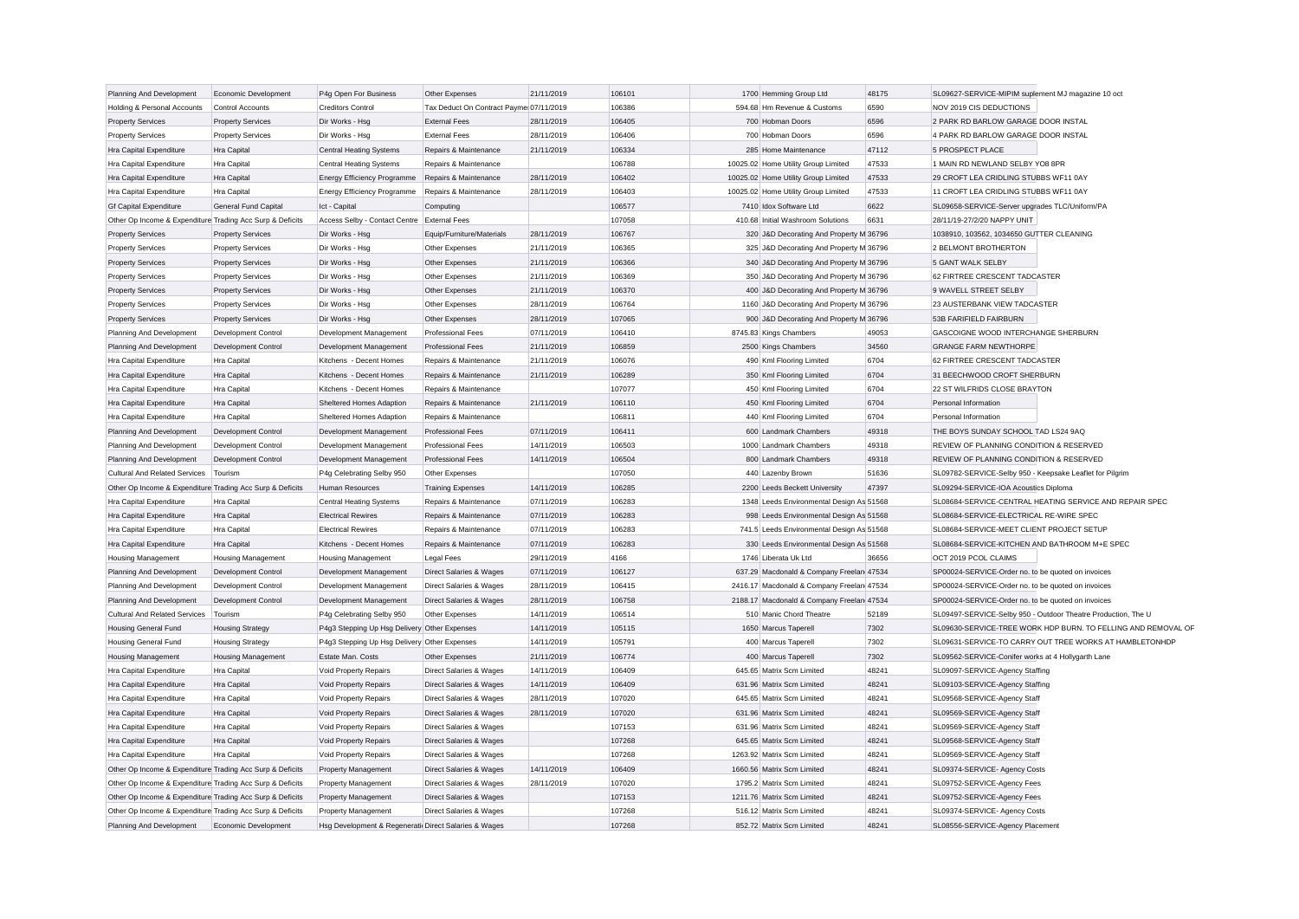| Planning And Development                                  | <b>Economic Development</b> | P4g Open For Business                                | Other Expenses                          | 21/11/2019 | 106101 | 1700 Hemming Group Ltd                    | 48175 | SL09627-SERVICE-MIPIM suplement MJ magazine 10 oct            |
|-----------------------------------------------------------|-----------------------------|------------------------------------------------------|-----------------------------------------|------------|--------|-------------------------------------------|-------|---------------------------------------------------------------|
| Holding & Personal Accounts                               | <b>Control Accounts</b>     | <b>Creditors Control</b>                             | Tax Deduct On Contract Payme 07/11/2019 |            | 106386 | 594.68 Hm Revenue & Customs               | 6590  | NOV 2019 CIS DEDUCTIONS                                       |
| <b>Property Services</b>                                  | <b>Property Services</b>    | Dir Works - Hsg                                      | <b>External Fees</b>                    | 28/11/2019 | 106405 | 700 Hobman Doors                          | 6596  | 2 PARK RD BARLOW GARAGE DOOR INSTAL                           |
| <b>Property Services</b>                                  | <b>Property Services</b>    | Dir Works - Hsg                                      | <b>External Fees</b>                    | 28/11/2019 | 106406 | 700 Hobman Doors                          | 6596  | 4 PARK RD BARLOW GARAGE DOOR INSTAL                           |
| Hra Capital Expenditure                                   | Hra Capital                 | <b>Central Heating Systems</b>                       | Repairs & Maintenance                   | 21/11/2019 | 106334 | 285 Home Maintenance                      | 47112 | 5 PROSPECT PLACE                                              |
| Hra Capital Expenditure                                   | Hra Capital                 | <b>Central Heating Systems</b>                       | Repairs & Maintenance                   |            | 106788 | 10025.02 Home Utility Group Limited       | 47533 | 1 MAIN RD NEWLAND SELBY YO8 8PR                               |
| Hra Capital Expenditure                                   | Hra Capital                 | Energy Efficiency Programme Repairs & Maintenance    |                                         | 28/11/2019 | 106402 | 10025.02 Home Utility Group Limited       | 47533 | 29 CROFT LEA CRIDLING STUBBS WF11 0AY                         |
| Hra Capital Expenditure                                   | Hra Capital                 | Energy Efficiency Programme                          | Repairs & Maintenance                   | 28/11/2019 | 106403 | 10025.02 Home Utility Group Limited       | 47533 | 11 CROFT LEA CRIDLING STUBBS WF11 0AY                         |
| <b>Gf Capital Expenditure</b>                             | General Fund Capital        | Ict - Capital                                        | Computing                               |            | 106577 | 7410 Idox Software Ltd                    | 6622  | SL09658-SERVICE-Server upgrades TLC/Uniform/PA                |
| Other Op Income & Expenditure Trading Acc Surp & Deficits |                             | Access Selby - Contact Centre External Fees          |                                         |            | 107058 | 410.68 Initial Washroom Solutions         | 6631  | 28/11/19-27/2/20 NAPPY UNIT                                   |
| <b>Property Services</b>                                  | <b>Property Services</b>    | Dir Works - Hsg                                      | Equip/Furniture/Materials               | 28/11/2019 | 106767 | 320 J&D Decorating And Property M 36796   |       | 1038910, 103562, 1034650 GUTTER CLEANING                      |
| <b>Property Services</b>                                  | <b>Property Services</b>    | Dir Works - Hsg                                      | Other Expenses                          | 21/11/2019 | 106365 | 325 J&D Decorating And Property M 36796   |       | 2 BELMONT BROTHERTON                                          |
| <b>Property Services</b>                                  | <b>Property Services</b>    | Dir Works - Hsg                                      | Other Expenses                          | 21/11/2019 | 106366 | 340 J&D Decorating And Property M 36796   |       | 5 GANT WALK SELBY                                             |
| <b>Property Services</b>                                  | <b>Property Services</b>    | Dir Works - Hsg                                      | Other Expenses                          | 21/11/2019 | 106369 | 350 J&D Decorating And Property M 36796   |       | 62 FIRTREE CRESCENT TADCASTER                                 |
| <b>Property Services</b>                                  | <b>Property Services</b>    | Dir Works - Hsa                                      | Other Expenses                          | 21/11/2019 | 106370 | 400 J&D Decorating And Property M 36796   |       | 9 WAVELL STREET SELBY                                         |
| <b>Property Services</b>                                  | <b>Property Services</b>    | Dir Works - Hsg                                      | Other Expenses                          | 28/11/2019 | 106764 | 1160 J&D Decorating And Property M 36796  |       | 23 AUSTERBANK VIEW TADCASTER                                  |
| <b>Property Services</b>                                  | <b>Property Services</b>    | Dir Works - Hsg                                      | Other Expenses                          | 28/11/2019 | 107065 | 900 J&D Decorating And Property M 36796   |       | 53B FARIFIELD FAIRBURN                                        |
| Planning And Development                                  | <b>Development Control</b>  | Development Management                               | <b>Professional Fees</b>                | 07/11/2019 | 106410 | 8745.83 Kings Chambers                    | 49053 | GASCOIGNE WOOD INTERCHANGE SHERBURN                           |
| Planning And Development                                  | Development Control         | Development Management                               | <b>Professional Fees</b>                | 21/11/2019 | 106859 | 2500 Kings Chambers                       | 34560 | <b>GRANGE FARM NEWTHORPE</b>                                  |
| Hra Capital Expenditure                                   | Hra Capital                 | Kitchens - Decent Homes                              | Repairs & Maintenance                   | 21/11/2019 | 106076 | 490 Kml Flooring Limited                  | 6704  | 62 FIRTREE CRESCENT TADCASTER                                 |
| Hra Capital Expenditure                                   | Hra Capital                 | Kitchens - Decent Homes                              | Repairs & Maintenance                   | 21/11/2019 | 106289 | 350 Kml Flooring Limited                  | 6704  | 31 BEECHWOOD CROFT SHERBURN                                   |
| Hra Capital Expenditure                                   | Hra Capital                 | Kitchens - Decent Homes                              | Repairs & Maintenance                   |            | 107077 | 450 Kml Flooring Limited                  | 6704  | 22 ST WILFRIDS CLOSE BRAYTON                                  |
| Hra Capital Expenditure                                   | Hra Capital                 | Sheltered Homes Adaption                             | Repairs & Maintenance                   | 21/11/2019 | 106110 | 450 Kml Flooring Limited                  | 6704  | Personal Information                                          |
| Hra Capital Expenditure                                   | Hra Capital                 | Sheltered Homes Adaption                             | Repairs & Maintenance                   |            | 106811 | 440 Kml Flooring Limited                  | 6704  | Personal Information                                          |
| Planning And Development                                  | Development Control         | Development Management                               | <b>Professional Fees</b>                | 07/11/2019 | 106411 | 600 Landmark Chambers                     | 49318 | THE BOYS SUNDAY SCHOOL TAD LS24 9AQ                           |
| Planning And Development                                  | <b>Development Control</b>  | Development Management                               | <b>Professional Fees</b>                | 14/11/2019 | 106503 | 1000 Landmark Chambers                    | 49318 | REVIEW OF PLANNING CONDITION & RESERVED                       |
| Planning And Development                                  | Development Control         | Development Management                               | <b>Professional Fees</b>                | 14/11/2019 | 106504 | 800 Landmark Chambers                     | 49318 | REVIEW OF PLANNING CONDITION & RESERVED                       |
| <b>Cultural And Related Services</b>                      | Tourism                     | P4g Celebrating Selby 950                            | Other Expenses                          |            | 107050 | 440 Lazenby Brown                         | 51636 | SL09782-SERVICE-Selby 950 - Keepsake Leaflet for Pilgrim      |
| Other Op Income & Expenditure Trading Acc Surp & Deficits |                             | Human Resources                                      | <b>Training Expenses</b>                | 14/11/2019 | 106285 | 2200 Leeds Beckett University             | 47397 | SL09294-SERVICE-IOA Acoustics Diploma                         |
| Hra Capital Expenditure                                   | Hra Capital                 | <b>Central Heating Systems</b>                       | Repairs & Maintenance                   | 07/11/2019 | 106283 | 1348 Leeds Environmental Design As 51568  |       | SL08684-SERVICE-CENTRAL HEATING SERVICE AND REPAIR SPEC       |
| Hra Capital Expenditure                                   | Hra Capital                 | <b>Electrical Rewires</b>                            | Repairs & Maintenance                   | 07/11/2019 | 106283 | 998 Leeds Environmental Design As 51568   |       | SL08684-SERVICE-ELECTRICAL RE-WIRE SPEC                       |
| Hra Capital Expenditure                                   | Hra Capital                 | <b>Electrical Rewires</b>                            | Repairs & Maintenance                   | 07/11/2019 | 106283 | 741.5 Leeds Environmental Design As 51568 |       | SL08684-SERVICE-MEET CLIENT PROJECT SETUP                     |
| Hra Capital Expenditure                                   | Hra Capital                 | Kitchens - Decent Homes                              | Repairs & Maintenance                   | 07/11/2019 | 106283 | 330 Leeds Environmental Design As 51568   |       | SL08684-SERVICE-KITCHEN AND BATHROOM M+E SPEC                 |
| <b>Housing Management</b>                                 | <b>Housing Management</b>   | <b>Housing Management</b>                            | <b>Legal Fees</b>                       | 29/11/2019 | 4166   | 1746 Liberata Uk Ltd                      | 36656 | OCT 2019 PCOL CLAIMS                                          |
| Planning And Development                                  | Development Control         | Development Management                               | Direct Salaries & Wages                 | 07/11/2019 | 106127 | 637.29 Macdonald & Company Freelan 47534  |       | SP00024-SERVICE-Order no. to be quoted on invoices            |
| Planning And Development                                  | Development Control         | Development Management                               | Direct Salaries & Wages                 | 28/11/2019 | 106415 | 2416.17 Macdonald & Company Freelan 47534 |       | SP00024-SERVICE-Order no, to be quoted on invoices            |
| Planning And Development                                  | Development Control         | Development Management                               | Direct Salaries & Wages                 | 28/11/2019 | 106758 | 2188.17 Macdonald & Company Freelan 47534 |       | SP00024-SERVICE-Order no. to be quoted on invoices            |
| <b>Cultural And Related Services</b>                      | Tourism                     | P4g Celebrating Selby 950                            | Other Expenses                          | 14/11/2019 | 106514 | 510 Manic Chord Theatre                   | 52189 | SL09497-SERVICE-Selby 950 - Outdoor Theatre Production, The U |
| <b>Housing General Fund</b>                               | <b>Housing Strategy</b>     | P4g3 Stepping Up Hsg Delivery Other Expenses         |                                         | 14/11/2019 | 105115 | 1650 Marcus Taperell                      | 7302  | SL09630-SERVICE-TREE WORK HDP BURN. TO FELLING AND REMOVAL OF |
| <b>Housing General Fund</b>                               | <b>Housing Strategy</b>     | P4g3 Stepping Up Hsg Delivery Other Expenses         |                                         | 14/11/2019 | 105791 | 400 Marcus Taperell                       | 7302  | SL09631-SERVICE-TO CARRY OUT TREE WORKS AT HAMBLETONHDP       |
| <b>Housing Management</b>                                 | <b>Housing Management</b>   | Estate Man. Costs                                    | Other Expenses                          | 21/11/2019 | 106774 | 400 Marcus Taperell                       | 7302  | SL09562-SERVICE-Conifer works at 4 Hollygarth Lane            |
| Hra Capital Expenditure                                   | Hra Capital                 | Void Property Repairs                                | Direct Salaries & Wages                 | 14/11/2019 | 106409 | 645.65 Matrix Scm Limited                 | 48241 | SL09097-SERVICE-Agency Staffing                               |
| Hra Capital Expenditure                                   | Hra Capital                 | Void Property Repairs                                | Direct Salaries & Wages                 | 14/11/2019 | 106409 | 631.96 Matrix Scm Limited                 | 48241 | SL09103-SERVICE-Agency Staffing                               |
| Hra Capital Expenditure                                   | Hra Capital                 | Void Property Repairs                                | Direct Salaries & Wages                 | 28/11/2019 | 107020 | 645.65 Matrix Scm Limited                 | 48241 | SL09568-SERVICE-Agency Staff                                  |
| Hra Capital Expenditure                                   | Hra Capital                 | Void Property Repairs                                | Direct Salaries & Wages                 | 28/11/2019 | 107020 | 631.96 Matrix Scm Limited                 | 48241 | SL09569-SERVICE-Agency Staff                                  |
| Hra Capital Expenditure                                   | Hra Capital                 | Void Property Repairs                                | Direct Salaries & Wages                 |            | 107153 | 631.96 Matrix Scm Limited                 | 48241 | SL09569-SERVICE-Agency Staff                                  |
| Hra Capital Expenditure                                   | Hra Capital                 | Void Property Repairs                                | Direct Salaries & Wages                 |            | 107268 | 645.65 Matrix Scm Limited                 | 48241 | SL09568-SERVICE-Agency Staff                                  |
| Hra Capital Expenditure                                   | Hra Capital                 | Void Property Repairs                                | Direct Salaries & Wages                 |            | 107268 | 1263.92 Matrix Scm Limited                | 48241 | SL09569-SERVICE-Agency Staff                                  |
| Other Op Income & Expenditure Trading Acc Surp & Deficits |                             | Property Management                                  | Direct Salaries & Wages                 | 14/11/2019 | 106409 | 1660.56 Matrix Scm Limited                | 48241 | SL09374-SERVICE- Agency Costs                                 |
| Other Op Income & Expenditure Trading Acc Surp & Deficits |                             | Property Management                                  | Direct Salaries & Wages                 | 28/11/2019 | 107020 | 1795.2 Matrix Scm Limited                 | 48241 | SL09752-SERVICE-Agency Fees                                   |
| Other Op Income & Expenditure Trading Acc Surp & Deficits |                             | <b>Property Management</b>                           | Direct Salaries & Wages                 |            | 107153 | 1211.76 Matrix Scm Limited                | 48241 | SL09752-SERVICE-Agency Fees                                   |
| Other Op Income & Expenditure Trading Acc Surp & Deficits |                             | Property Management                                  | Direct Salaries & Wages                 |            | 107268 | 516.12 Matrix Scm Limited                 | 48241 | SL09374-SERVICE- Agency Costs                                 |
| Planning And Development                                  | Economic Development        | Hsg Development & Regenerati Direct Salaries & Wages |                                         |            | 107268 | 852.72 Matrix Scm Limited                 | 48241 | SL08556-SERVICE-Agency Placement                              |
|                                                           |                             |                                                      |                                         |            |        |                                           |       |                                                               |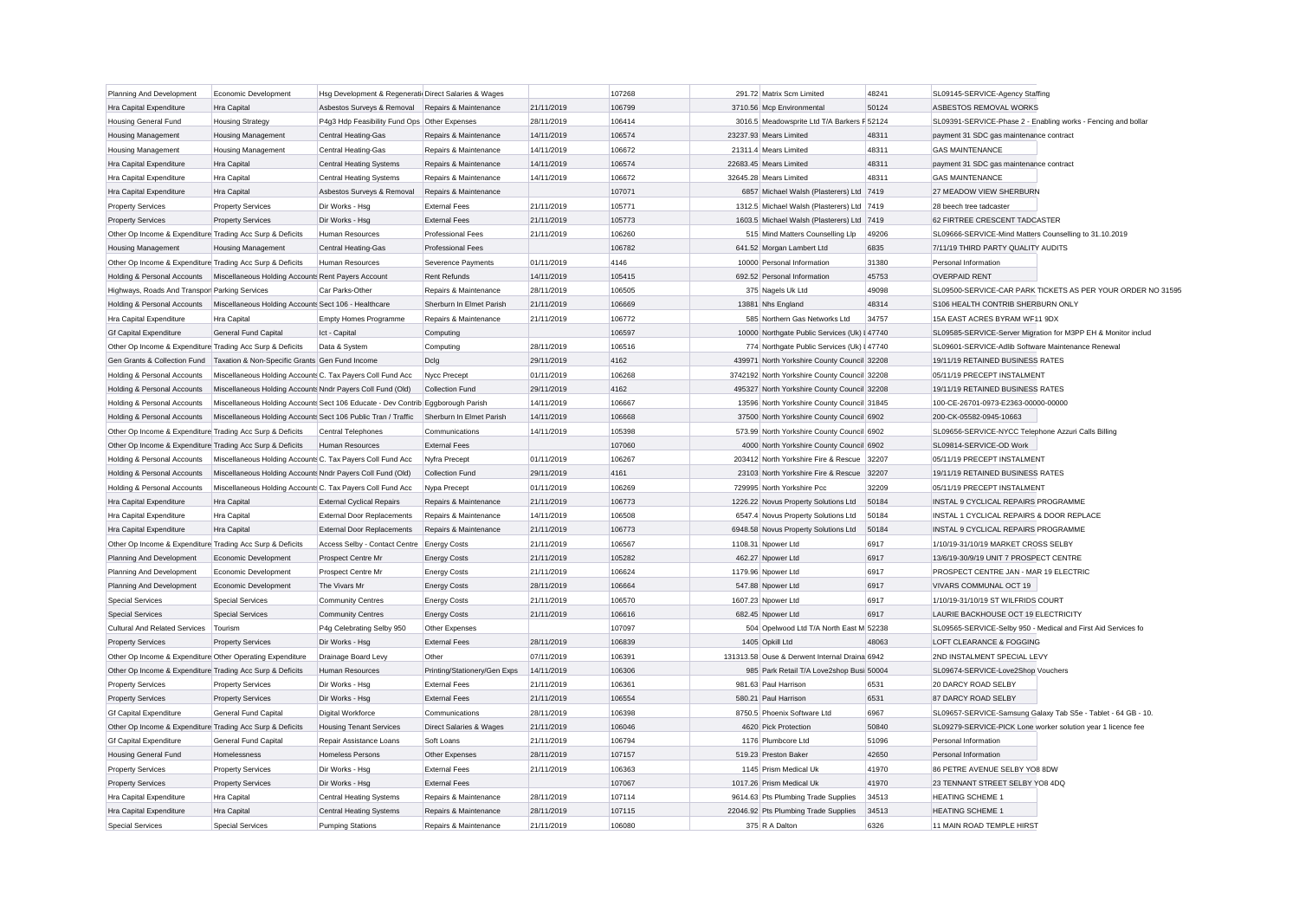| Planning And Development                                  | Economic Development                                                                   | Hsg Development & Regenerati Direct Salaries & Wages                            |                                                      |                          | 107268           | 291.72 Matrix Scm Limited                                                                 | 48241 | SL09145-SERVICE-Agency Staffing                               |
|-----------------------------------------------------------|----------------------------------------------------------------------------------------|---------------------------------------------------------------------------------|------------------------------------------------------|--------------------------|------------------|-------------------------------------------------------------------------------------------|-------|---------------------------------------------------------------|
| Hra Capital Expenditure                                   | Hra Capital                                                                            | Asbestos Surveys & Removal                                                      | Repairs & Maintenance                                | 21/11/2019               | 106799           | 3710.56 Mcp Environmental                                                                 | 50124 | ASBESTOS REMOVAL WORKS                                        |
| <b>Housing General Fund</b>                               | <b>Housing Strategy</b>                                                                | P4q3 Hdp Feasibility Fund Ops Other Expenses                                    |                                                      | 28/11/2019               | 106414           | 3016.5 Meadowsprite Ltd T/A Barkers F 52124                                               |       | SL09391-SERVICE-Phase 2 - Enabling works - Fencing and bollar |
| <b>Housing Management</b>                                 | <b>Housing Management</b>                                                              | Central Heating-Gas                                                             | Repairs & Maintenance                                | 14/11/2019               | 106574           | 23237.93 Mears Limited                                                                    | 48311 | payment 31 SDC gas maintenance contract                       |
| <b>Housing Management</b>                                 | <b>Housing Management</b>                                                              | Central Heating-Gas                                                             | Repairs & Maintenance                                | 14/11/2019               | 106672           | 21311.4 Mears Limited                                                                     | 48311 | <b>GAS MAINTENANCE</b>                                        |
| Hra Capital Expenditure                                   | Hra Capital                                                                            | <b>Central Heating Systems</b>                                                  | Repairs & Maintenance                                | 14/11/2019               | 106574           | 22683.45 Mears Limited                                                                    | 48311 | payment 31 SDC gas maintenance contract                       |
| Hra Capital Expenditure                                   | Hra Capital                                                                            | <b>Central Heating Systems</b>                                                  | Repairs & Maintenance                                | 14/11/2019               | 106672           | 32645.28 Mears Limited                                                                    | 48311 | <b>GAS MAINTENANCE</b>                                        |
| <b>Hra Capital Expenditure</b>                            | Hra Capital                                                                            | Asbestos Surveys & Removal                                                      | Repairs & Maintenance                                |                          | 107071           | 6857 Michael Walsh (Plasterers) Ltd 7419                                                  |       | 27 MEADOW VIEW SHERBURN                                       |
| <b>Property Services</b>                                  | <b>Property Services</b>                                                               | Dir Works - Hsa                                                                 | <b>External Fees</b>                                 | 21/11/2019               | 105771           | 1312.5 Michael Walsh (Plasterers) Ltd 7419                                                |       | 28 beech tree tadcaster                                       |
| <b>Property Services</b>                                  | <b>Property Services</b>                                                               | Dir Works - Hsg                                                                 | <b>External Fees</b>                                 | 21/11/2019               | 105773           | 1603.5 Michael Walsh (Plasterers) Ltd 7419                                                |       | 62 FIRTREE CRESCENT TADCASTER                                 |
| Other Op Income & Expenditure Trading Acc Surp & Deficits |                                                                                        | Human Resources                                                                 | <b>Professional Fees</b>                             | 21/11/2019               | 106260           | 515 Mind Matters Counselling Llp                                                          | 49206 | SL09666-SERVICE-Mind Matters Counselling to 31.10.2019        |
| <b>Housing Management</b>                                 | <b>Housing Management</b>                                                              | <b>Central Heating-Gas</b>                                                      | <b>Professional Fees</b>                             |                          | 106782           | 641.52 Morgan Lambert Ltd                                                                 | 6835  | 7/11/19 THIRD PARTY QUALITY AUDITS                            |
| Other Op Income & Expenditure Trading Acc Surp & Deficits |                                                                                        | Human Resources                                                                 | Severence Payments                                   | 01/11/2019               | 4146             | 10000 Personal Information                                                                | 31380 | Personal Information                                          |
| Holding & Personal Accounts                               | Miscellaneous Holding Accounts Rent Payers Account                                     |                                                                                 | <b>Rent Refunds</b>                                  | 14/11/2019               | 105415           | 692.52 Personal Information                                                               | 45753 | <b>OVERPAID RENT</b>                                          |
| Highways, Roads And Transpor Parking Services             |                                                                                        | Car Parks-Other                                                                 | Repairs & Maintenance                                | 28/11/2019               | 106505           | 375 Nagels Uk Ltd                                                                         | 49098 | SL09500-SERVICE-CAR PARK TICKETS AS PER YOUR ORDER NO 31595   |
| Holding & Personal Accounts                               | Miscellaneous Holding Accounts Sect 106 - Healthcare                                   |                                                                                 | Sherburn In Elmet Parish                             | 21/11/2019               | 106669           | 13881 Nhs England                                                                         | 48314 | S106 HEALTH CONTRIB SHERBURN ONLY                             |
| Hra Capital Expenditure                                   | Hra Capital                                                                            | <b>Empty Homes Programme</b>                                                    | Repairs & Maintenance                                | 21/11/2019               | 106772           | 585 Northern Gas Networks Ltd                                                             | 34757 | 15A EAST ACRES BYRAM WF11 9DX                                 |
| <b>Gf Capital Expenditure</b>                             | General Fund Capital                                                                   | Ict - Capital                                                                   | Computing                                            |                          | 106597           | 10000 Northgate Public Services (Uk) I 47740                                              |       | SL09585-SERVICE-Server Migration for M3PP EH & Monitor includ |
| Other Op Income & Expenditure Trading Acc Surp & Deficits |                                                                                        | Data & System                                                                   | Computing                                            | 28/11/2019               | 106516           | 774 Northgate Public Services (Uk) I 47740                                                |       | SL09601-SERVICE-Adlib Software Maintenance Renewal            |
| Gen Grants & Collection Fund                              | Taxation & Non-Specific Grants Gen Fund Income                                         |                                                                                 | Dcla                                                 | 29/11/2019               | 4162             | 439971 North Yorkshire County Council 32208                                               |       | 19/11/19 RETAINED BUSINESS RATES                              |
| Holding & Personal Accounts                               | Miscellaneous Holding Accounts C. Tax Payers Coll Fund Acc                             |                                                                                 | Nycc Precept                                         | 01/11/2019               | 106268           | 3742192 North Yorkshire County Council 32208                                              |       | 05/11/19 PRECEPT INSTALMENT                                   |
| Holding & Personal Accounts                               | Miscellaneous Holding Accounts Nndr Payers Coll Fund (Old)                             |                                                                                 | <b>Collection Fund</b>                               | 29/11/2019               | 4162             | 495327 North Yorkshire County Council 32208                                               |       | 19/11/19 RETAINED BUSINESS RATES                              |
| Holding & Personal Accounts                               |                                                                                        | Miscellaneous Holding Accounts Sect 106 Educate - Dev Contrib Eggborough Parish |                                                      | 14/11/2019               | 106667           | 13596 North Yorkshire County Council 31845                                                |       | 100-CE-26701-0973-E2363-00000-00000                           |
| Holding & Personal Accounts                               | Miscellaneous Holding Accounts Sect 106 Public Tran / Traffic Sherburn In Elmet Parish |                                                                                 |                                                      | 14/11/2019               | 106668           | 37500 North Yorkshire County Council 6902                                                 |       | 200-CK-05582-0945-10663                                       |
| Other Op Income & Expenditure Trading Acc Surp & Deficits |                                                                                        | Central Telephones                                                              | Communications                                       | 14/11/2019               | 105398           | 573.99 North Yorkshire County Council 6902                                                |       | SL09656-SERVICE-NYCC Telephone Azzuri Calls Billing           |
| Other Op Income & Expenditure Trading Acc Surp & Deficits |                                                                                        | <b>Human Resources</b>                                                          | <b>External Fees</b>                                 |                          | 107060           | 4000 North Yorkshire County Council 6902                                                  |       | SL09814-SERVICE-OD Work                                       |
| Holding & Personal Accounts                               | Miscellaneous Holding Accounts C. Tax Payers Coll Fund Acc                             |                                                                                 | Nyfra Precept                                        | 01/11/2019               | 106267           | 203412 North Yorkshire Fire & Rescue 32207                                                |       | 05/11/19 PRECEPT INSTALMENT                                   |
| Holding & Personal Accounts                               | Miscellaneous Holding Accounts Nndr Payers Coll Fund (Old)                             |                                                                                 | <b>Collection Fund</b>                               | 29/11/2019               | 4161             | 23103 North Yorkshire Fire & Rescue 32207                                                 |       | 19/11/19 RETAINED BUSINESS RATES                              |
| Holding & Personal Accounts                               | Miscellaneous Holding Accounts C. Tax Payers Coll Fund Acc                             |                                                                                 | Nypa Precept                                         | 01/11/2019               | 106269           | 729995 North Yorkshire Pcc                                                                | 32209 | 05/11/19 PRECEPT INSTALMENT                                   |
| Hra Capital Expenditure                                   | Hra Capital                                                                            | <b>External Cyclical Repairs</b>                                                | Repairs & Maintenance                                | 21/11/2019               | 106773           | 1226.22 Novus Property Solutions Ltd                                                      | 50184 | INSTAL 9 CYCLICAL REPAIRS PROGRAMME                           |
| Hra Capital Expenditure                                   | Hra Capital                                                                            | <b>External Door Replacements</b>                                               | Repairs & Maintenance                                | 14/11/2019               | 106508           | 6547.4 Novus Property Solutions Ltd                                                       | 50184 | INSTAL 1 CYCLICAL REPAIRS & DOOR REPLACE                      |
| <b>Hra Capital Expenditure</b>                            | Hra Capital                                                                            | <b>External Door Replacements</b>                                               | Repairs & Maintenance                                | 21/11/2019               | 106773           | 6948.58 Novus Property Solutions Ltd                                                      | 50184 | INSTAL 9 CYCLICAL REPAIRS PROGRAMME                           |
| Other Op Income & Expenditure Trading Acc Surp & Deficits |                                                                                        | Access Selby - Contact Centre                                                   | <b>Energy Costs</b>                                  | 21/11/2019               | 106567           | 1108.31 Npower Ltd                                                                        | 6917  | 1/10/19-31/10/19 MARKET CROSS SELBY                           |
| Planning And Development                                  | Economic Development                                                                   | Prospect Centre Mr                                                              | <b>Energy Costs</b>                                  | 21/11/2019               | 105282           | 462.27 Npower Ltd                                                                         | 6917  | 13/6/19-30/9/19 UNIT 7 PROSPECT CENTRE                        |
| Planning And Development                                  | Economic Development                                                                   | Prospect Centre Mr                                                              |                                                      | 21/11/2019               | 106624           | 1179.96 Npower Ltd                                                                        | 6917  | PROSPECT CENTRE JAN - MAR 19 ELECTRIC                         |
| Planning And Development                                  | Economic Development                                                                   | The Vivars Mr                                                                   | <b>Energy Costs</b>                                  | 28/11/2019               | 106664           | 547.88 Npower Ltd                                                                         | 6917  | VIVARS COMMUNAL OCT 19                                        |
| <b>Special Services</b>                                   | <b>Special Services</b>                                                                | <b>Community Centres</b>                                                        | <b>Energy Costs</b>                                  | 21/11/2019               | 106570           | 1607.23 Npower Ltd                                                                        | 6917  | 1/10/19-31/10/19 ST WILFRIDS COURT                            |
| Special Services                                          | <b>Special Services</b>                                                                |                                                                                 | <b>Energy Costs</b>                                  | 21/11/2019               | 106616           | 682.45 Noower Ltd                                                                         | 6917  | LAURIE BACKHOUSE OCT 19 ELECTRICITY                           |
| <b>Cultural And Related Services</b>                      | Tourism                                                                                | <b>Community Centres</b><br>P4g Celebrating Selby 950                           | <b>Energy Costs</b><br>Other Expenses                |                          | 107097           | 504 Opelwood Ltd T/A North East M 52238                                                   |       | SL09565-SERVICE-Selby 950 - Medical and First Aid Services fo |
| <b>Property Services</b>                                  | <b>Property Services</b>                                                               | Dir Works - Hsg                                                                 | <b>External Fees</b>                                 | 28/11/2019               | 106839           | 1405 Opkill Ltd                                                                           | 48063 | LOFT CLEARANCE & FOGGING                                      |
|                                                           |                                                                                        |                                                                                 |                                                      |                          |                  |                                                                                           |       | 2ND INSTALMENT SPECIAL LEVY                                   |
| Other Op Income & Expenditure Other Operating Expenditure |                                                                                        | Drainage Board Levy                                                             | Other                                                | 07/11/2019<br>14/11/2019 | 106391           | 131313.58 Ouse & Derwent Internal Draina 6942<br>985 Park Retail T/A Love2shop Busi 50004 |       |                                                               |
| Other Op Income & Expenditure Trading Acc Surp & Deficits |                                                                                        | Human Resources                                                                 | Printing/Stationery/Gen Exps<br><b>External Fees</b> | 21/11/2019               | 106306<br>106361 | 981.63 Paul Harrison                                                                      | 6531  | SL09674-SERVICE-Love2Shop Vouchers<br>20 DARCY ROAD SELBY     |
| <b>Property Services</b>                                  | <b>Property Services</b>                                                               | Dir Works - Hsg                                                                 |                                                      |                          |                  |                                                                                           |       |                                                               |
| <b>Property Services</b>                                  | <b>Property Services</b>                                                               | Dir Works - Hsa                                                                 | <b>External Fees</b>                                 | 21/11/2019               | 106554           | 580.21 Paul Harrison                                                                      | 6531  | 87 DARCY ROAD SELBY                                           |
| <b>Gf Capital Expenditure</b>                             | General Fund Capital                                                                   | <b>Digital Workforce</b>                                                        | Communications                                       | 28/11/2019               | 106398           | 8750.5 Phoenix Software Ltd                                                               | 6967  | SL09657-SERVICE-Samsung Galaxy Tab S5e - Tablet - 64 GB - 10. |
| Other Op Income & Expenditure Trading Acc Surp & Deficits |                                                                                        | <b>Housing Tenant Services</b>                                                  | Direct Salaries & Wages                              | 21/11/2019               | 106046           | 4620 Pick Protection                                                                      | 50840 | SL09279-SERVICE-PICK Lone worker solution year 1 licence fee  |
| <b>Gf Capital Expenditure</b>                             | General Fund Capital                                                                   | Repair Assistance Loans                                                         | Soft Loans                                           | 21/11/2019               | 106794           | 1176 Plumbcore Ltd                                                                        | 51096 | Personal Information                                          |
| <b>Housing General Fund</b>                               | Homelessness                                                                           | <b>Homeless Persons</b>                                                         | Other Expenses                                       | 28/11/2019               | 107157           | 519.23 Preston Baker                                                                      | 42650 | Personal Information                                          |
| <b>Property Services</b>                                  | <b>Property Services</b>                                                               | Dir Works - Hsa                                                                 | <b>External Fees</b>                                 | 21/11/2019               | 106363           | 1145 Prism Medical Uk                                                                     | 41970 | 86 PETRE AVENUE SELBY YO8 8DW                                 |
| <b>Property Services</b>                                  | <b>Property Services</b>                                                               | Dir Works - Hsg                                                                 | <b>External Fees</b>                                 |                          | 107067           | 1017.26 Prism Medical Uk                                                                  | 41970 | 23 TENNANT STREET SELBY YO8 4DQ                               |
| Hra Capital Expenditure                                   | Hra Capital                                                                            | <b>Central Heating Systems</b>                                                  | Repairs & Maintenance                                | 28/11/2019               | 107114           | 9614.63 Pts Plumbing Trade Supplies                                                       | 34513 | <b>HEATING SCHEME 1</b>                                       |
| Hra Capital Expenditure                                   | Hra Capital                                                                            | <b>Central Heating Systems</b>                                                  | Repairs & Maintenance                                | 28/11/2019               | 107115           | 22046.92 Pts Plumbing Trade Supplies                                                      | 34513 | <b>HEATING SCHEME 1</b>                                       |
| <b>Special Services</b>                                   | <b>Special Services</b>                                                                | <b>Pumping Stations</b>                                                         | Repairs & Maintenance                                | 21/11/2019               | 106080           | 375 R A Dalton                                                                            | 6326  | 11 MAIN ROAD TEMPLE HIRST                                     |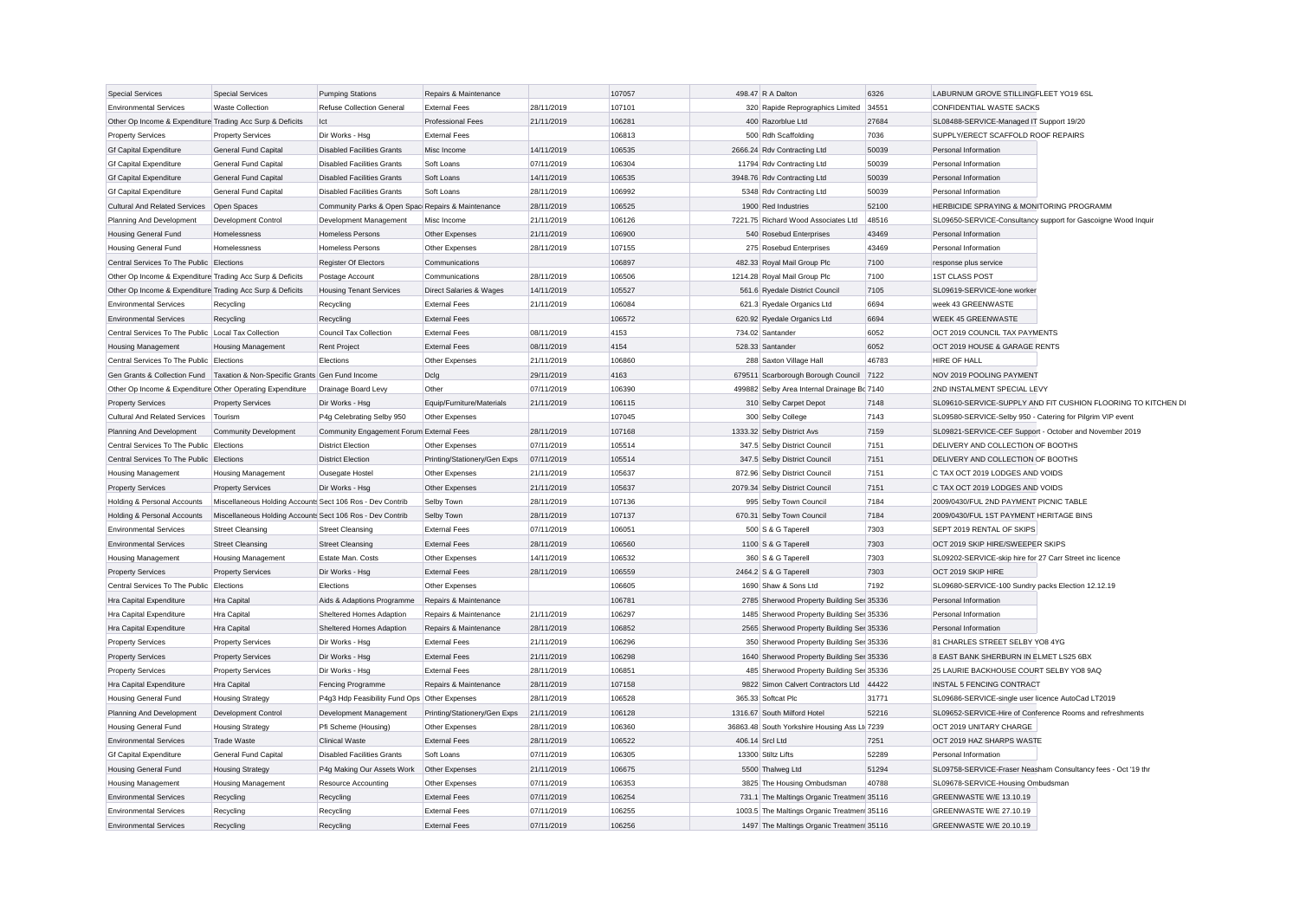| <b>Special Services</b>                                   | Special Services                                                                | <b>Pumping Stations</b>                           | Repairs & Maintenance        |            | 107057 | 498.47 R A Dalton                            | 6326  | LABURNUM GROVE STILLINGFLEET YO19 6SL                      |                                                               |
|-----------------------------------------------------------|---------------------------------------------------------------------------------|---------------------------------------------------|------------------------------|------------|--------|----------------------------------------------|-------|------------------------------------------------------------|---------------------------------------------------------------|
| <b>Environmental Services</b>                             | <b>Waste Collection</b>                                                         | Refuse Collection General                         | <b>External Fees</b>         | 28/11/2019 | 107101 | 320 Rapide Reprographics Limited             | 34551 | CONFIDENTIAL WASTE SACKS                                   |                                                               |
| Other Op Income & Expenditure Trading Acc Surp & Deficits |                                                                                 | lct                                               | <b>Professional Fees</b>     | 21/11/2019 | 106281 | 400 Razorblue Ltd                            | 27684 | SL08488-SERVICE-Managed IT Support 19/20                   |                                                               |
| <b>Property Services</b>                                  | <b>Property Services</b>                                                        | Dir Works - Hsg                                   | <b>External Fees</b>         |            | 106813 | 500 Rdh Scaffolding                          | 7036  | SUPPLY/ERECT SCAFFOLD ROOF REPAIRS                         |                                                               |
| <b>Gf Capital Expenditure</b>                             | General Fund Capital                                                            | <b>Disabled Facilities Grants</b>                 | Misc Income                  | 14/11/2019 | 106535 | 2666.24 Rdv Contracting Ltd                  | 50039 | Personal Information                                       |                                                               |
| <b>Gf Capital Expenditure</b>                             | <b>General Fund Capital</b>                                                     | <b>Disabled Facilities Grants</b>                 | Soft Loans                   | 07/11/2019 | 106304 | 11794 Rdy Contracting Ltd                    | 50039 | Personal Information                                       |                                                               |
| <b>Gf Capital Expenditure</b>                             | General Fund Capital                                                            | <b>Disabled Facilities Grants</b>                 | Soft Loans                   | 14/11/2019 | 106535 | 3948.76 Rdv Contracting Ltd                  | 50039 | Personal Information                                       |                                                               |
| <b>Gf Capital Expenditure</b>                             | General Fund Capital                                                            | <b>Disabled Facilities Grants</b>                 | Soft Loans                   | 28/11/2019 | 106992 | 5348 Rdv Contracting Ltd                     | 50039 | Personal Information                                       |                                                               |
| <b>Cultural And Related Services</b>                      | Open Spaces                                                                     | Community Parks & Open Spac Repairs & Maintenance |                              | 28/11/2019 | 106525 | 1900 Red Industries                          | 52100 | HERBICIDE SPRAYING & MONITORING PROGRAMM                   |                                                               |
| Planning And Development                                  | Development Control                                                             | Development Management                            | Misc Income                  | 21/11/2019 | 106126 | 7221.75 Richard Wood Associates Ltd          | 48516 |                                                            | SL09650-SERVICE-Consultancy support for Gascoigne Wood Inquir |
| <b>Housing General Fund</b>                               | Homelessness                                                                    | <b>Homeless Persons</b>                           | Other Expenses               | 21/11/2019 | 106900 | 540 Rosebud Enterprises                      | 43469 | Personal Information                                       |                                                               |
| <b>Housing General Fund</b>                               | Homelessness                                                                    | <b>Homeless Persons</b>                           | Other Expenses               | 28/11/2019 | 107155 | 275 Rosebud Enterprises                      | 43469 | Personal Information                                       |                                                               |
| Central Services To The Public Elections                  |                                                                                 | Register Of Electors                              | Communications               |            | 106897 | 482.33 Royal Mail Group Plc                  | 7100  | response plus service                                      |                                                               |
| Other Op Income & Expenditure Trading Acc Surp & Deficits |                                                                                 | Postage Account                                   | Communications               | 28/11/2019 | 106506 | 1214.28 Roval Mail Group Plc                 | 7100  | <b>1ST CLASS POST</b>                                      |                                                               |
| Other Op Income & Expenditure Trading Acc Surp & Deficits |                                                                                 | <b>Housing Tenant Services</b>                    | Direct Salaries & Wages      | 14/11/2019 | 105527 | 561.6 Ryedale District Council               | 7105  | SL09619-SERVICE-lone worker                                |                                                               |
| <b>Environmental Services</b>                             | Recycling                                                                       | Recycling                                         | <b>External Fees</b>         | 21/11/2019 | 106084 | 621.3 Ryedale Organics Ltd                   | 6694  | week 43 GREENWASTE                                         |                                                               |
| <b>Environmental Services</b>                             | Recycling                                                                       | Recycling                                         | <b>External Fees</b>         |            | 106572 | 620.92 Ryedale Organics Ltd                  | 6694  | <b>WEEK 45 GREENWASTE</b>                                  |                                                               |
| Central Services To The Public Local Tax Collection       |                                                                                 | Council Tax Collection                            | <b>External Fees</b>         | 08/11/2019 | 4153   | 734.02 Santander                             | 6052  | OCT 2019 COUNCIL TAX PAYMENTS                              |                                                               |
| <b>Housing Management</b>                                 | <b>Housing Management</b>                                                       | <b>Rent Project</b>                               | <b>External Fees</b>         | 08/11/2019 | 4154   | 528.33 Santander                             | 6052  | OCT 2019 HOUSE & GARAGE RENTS                              |                                                               |
| Central Services To The Public Elections                  |                                                                                 | Elections                                         | Other Expenses               | 21/11/2019 | 106860 | 288 Saxton Village Hall                      | 46783 | HIRE OF HALL                                               |                                                               |
|                                                           | Gen Grants & Collection Fund   Taxation & Non-Specific Grants   Gen Fund Income |                                                   | Dclg                         | 29/11/2019 | 4163   | 679511 Scarborough Borough Council           | 7122  | NOV 2019 POOLING PAYMENT                                   |                                                               |
| Other Op Income & Expenditure Other Operating Expenditure |                                                                                 | Drainage Board Levy                               | Other                        | 07/11/2019 | 106390 | 499882 Selby Area Internal Drainage Bc 7140  |       | 2ND INSTALMENT SPECIAL LEVY                                |                                                               |
| <b>Property Services</b>                                  | <b>Property Services</b>                                                        | Dir Works - Hsg                                   | Equip/Furniture/Materials    | 21/11/2019 | 106115 | 310 Selby Carpet Depot                       | 7148  |                                                            | SL09610-SERVICE-SUPPLY AND FIT CUSHION FLOORING TO KITCHEN DI |
| Cultural And Related Services                             | Tourism                                                                         | P4g Celebrating Selby 950                         | Other Expenses               |            | 107045 | 300 Selby College                            | 7143  | SL09580-SERVICE-Selby 950 - Catering for Pilgrim VIP event |                                                               |
| Planning And Development                                  | <b>Community Development</b>                                                    | Community Engagement Forum External Fees          |                              | 28/11/2019 | 107168 | 1333.32 Selby District Avs                   | 7159  |                                                            | SL09821-SERVICE-CEF Support - October and November 2019       |
| Central Services To The Public                            | Elections                                                                       | <b>District Election</b>                          | Other Expenses               | 07/11/2019 | 105514 | 347.5 Selby District Council                 | 7151  | DELIVERY AND COLLECTION OF BOOTHS                          |                                                               |
| Central Services To The Public Elections                  |                                                                                 | <b>District Election</b>                          | Printing/Stationery/Gen Exps | 07/11/2019 | 105514 | 347.5 Selby District Council                 | 7151  | DELIVERY AND COLLECTION OF BOOTHS                          |                                                               |
| <b>Housing Management</b>                                 | <b>Housing Management</b>                                                       | Ousegate Hostel                                   | Other Expenses               | 21/11/2019 | 105637 | 872.96 Selby District Council                | 7151  | C TAX OCT 2019 LODGES AND VOIDS                            |                                                               |
| <b>Property Services</b>                                  | <b>Property Services</b>                                                        | Dir Works - Hsg                                   | Other Expenses               | 21/11/2019 | 105637 | 2079.34 Selby District Council               | 7151  | C TAX OCT 2019 LODGES AND VOIDS                            |                                                               |
| Holding & Personal Accounts                               | Miscellaneous Holding Accounts Sect 106 Ros - Dev Contrib                       |                                                   | Selby Town                   | 28/11/2019 | 107136 | 995 Selby Town Council                       | 7184  | 2009/0430/FUL 2ND PAYMENT PICNIC TABLE                     |                                                               |
| Holding & Personal Accounts                               | Miscellaneous Holding Accounts Sect 106 Ros - Dev Contrib                       |                                                   | Selby Town                   | 28/11/2019 | 107137 | 670.31 Selby Town Council                    | 7184  | 2009/0430/FUL 1ST PAYMENT HERITAGE BINS                    |                                                               |
| <b>Environmental Services</b>                             | <b>Street Cleansing</b>                                                         | <b>Street Cleansing</b>                           | <b>External Fees</b>         | 07/11/2019 | 106051 | 500 S & G Taperell                           | 7303  | SEPT 2019 RENTAL OF SKIPS                                  |                                                               |
| <b>Environmental Services</b>                             | <b>Street Cleansing</b>                                                         | Street Cleansing                                  | <b>External Fees</b>         | 28/11/2019 | 106560 | 1100 S & G Taperell                          | 7303  | OCT 2019 SKIP HIRE/SWEEPER SKIPS                           |                                                               |
| <b>Housing Management</b>                                 | <b>Housing Management</b>                                                       | Estate Man. Costs                                 | Other Expenses               | 14/11/2019 | 106532 | 360 S & G Taperell                           | 7303  | SL09202-SERVICE-skip hire for 27 Carr Street inc licence   |                                                               |
| <b>Property Services</b>                                  | <b>Property Services</b>                                                        | Dir Works - Hsg                                   | <b>External Fees</b>         | 28/11/2019 | 106559 | 2464.2 S & G Taperell                        | 7303  | OCT 2019 SKIP HIRE                                         |                                                               |
| Central Services To The Public                            | Elections                                                                       | Elections                                         | Other Expenses               |            | 106605 | 1690 Shaw & Sons Ltd                         | 7192  | SL09680-SERVICE-100 Sundry packs Election 12.12.19         |                                                               |
| Hra Capital Expenditure                                   | Hra Capital                                                                     | Aids & Adaptions Programme                        | Repairs & Maintenance        |            | 106781 | 2785 Sherwood Property Building Ser 35336    |       | Personal Information                                       |                                                               |
| Hra Capital Expenditure                                   | Hra Capital                                                                     | Sheltered Homes Adaption                          | Repairs & Maintenance        | 21/11/2019 | 106297 | 1485 Sherwood Property Building Ser 35336    |       | Personal Information                                       |                                                               |
| Hra Capital Expenditure                                   | Hra Capital                                                                     | Sheltered Homes Adaption                          | Repairs & Maintenance        | 28/11/2019 | 106852 | 2565 Sherwood Property Building Ser 35336    |       | Personal Information                                       |                                                               |
| <b>Property Services</b>                                  | <b>Property Services</b>                                                        | Dir Works - Hsg                                   | <b>External Fees</b>         | 21/11/2019 | 106296 | 350 Sherwood Property Building Ser 35336     |       | 81 CHARLES STREET SELBY YO8 4YG                            |                                                               |
| <b>Property Services</b>                                  | <b>Property Services</b>                                                        | Dir Works - Hsa                                   | <b>External Fees</b>         | 21/11/2019 | 106298 | 1640 Sherwood Property Building Ser 35336    |       | 8 EAST BANK SHERBURN IN ELMET LS25 6BX                     |                                                               |
| <b>Property Services</b>                                  | <b>Property Services</b>                                                        | Dir Works - Hsg                                   | <b>External Fees</b>         | 28/11/2019 | 106851 | 485 Sherwood Property Building Ser 35336     |       | 25 LAURIE BACKHOUSE COURT SELBY YO8 9AQ                    |                                                               |
| Hra Capital Expenditure                                   | Hra Capital                                                                     | Fencing Programme                                 | Repairs & Maintenance        | 28/11/2019 | 107158 | 9822 Simon Calvert Contractors Ltd           | 44422 | INSTAL 5 FENCING CONTRACT                                  |                                                               |
| <b>Housing General Fund</b>                               | <b>Housing Strategy</b>                                                         | P4g3 Hdp Feasibility Fund Ops Other Expenses      |                              | 28/11/2019 | 106528 | 365.33 Softcat Plc                           | 31771 | SL09686-SERVICE-single user licence AutoCad LT2019         |                                                               |
| Planning And Development                                  | Development Control                                                             | Development Management                            | Printing/Stationery/Gen Exps | 21/11/2019 | 106128 | 1316.67 South Milford Hotel                  | 52216 |                                                            | SL09652-SERVICE-Hire of Conference Rooms and refreshments     |
| <b>Housing General Fund</b>                               | <b>Housing Strategy</b>                                                         | Pfi Scheme (Housing)                              | Other Expenses               | 28/11/2019 | 106360 | 36863.48 South Yorkshire Housing Ass Lt 7239 |       | OCT 2019 UNITARY CHARGE                                    |                                                               |
| <b>Environmental Services</b>                             | <b>Trade Waste</b>                                                              | <b>Clinical Waste</b>                             | <b>External Fees</b>         | 28/11/2019 | 106522 | 406.14 Srcl Ltd                              | 7251  | OCT 2019 HAZ SHARPS WASTE                                  |                                                               |
| <b>Gf Capital Expenditure</b>                             | General Fund Capital                                                            | <b>Disabled Facilities Grants</b>                 | Soft Loans                   | 07/11/2019 | 106305 | 13300 Stiltz Lifts                           | 52289 | Personal Information                                       |                                                               |
| <b>Housing General Fund</b>                               | <b>Housing Strategy</b>                                                         | P4g Making Our Assets Work                        | Other Expenses               | 21/11/2019 | 106675 | 5500 Thalweg Ltd                             | 51294 |                                                            | SL09758-SERVICE-Fraser Neasham Consultancy fees - Oct '19 thr |
| <b>Housing Management</b>                                 | <b>Housing Management</b>                                                       | Resource Accounting                               | Other Expenses               | 07/11/2019 | 106353 | 3825 The Housing Ombudsman                   | 40788 | SL09678-SERVICE-Housing Ombudsman                          |                                                               |
| <b>Environmental Services</b>                             | Recycling                                                                       | Recycling                                         | <b>External Fees</b>         | 07/11/2019 | 106254 | 731.1 The Maltings Organic Treatmen 35116    |       | GREENWASTE W/E 13.10.19                                    |                                                               |
| <b>Environmental Services</b>                             | Recycling                                                                       | Recycling                                         | <b>External Fees</b>         | 07/11/2019 | 106255 | 1003.5 The Maltings Organic Treatmen 35116   |       | GREENWASTE W/E 27.10.19                                    |                                                               |
| <b>Environmental Services</b>                             | Recycling                                                                       | Recycling                                         | <b>External Fees</b>         | 07/11/2019 | 106256 | 1497 The Maltings Organic Treatmen 35116     |       | GREENWASTE W/E 20.10.19                                    |                                                               |
|                                                           |                                                                                 |                                                   |                              |            |        |                                              |       |                                                            |                                                               |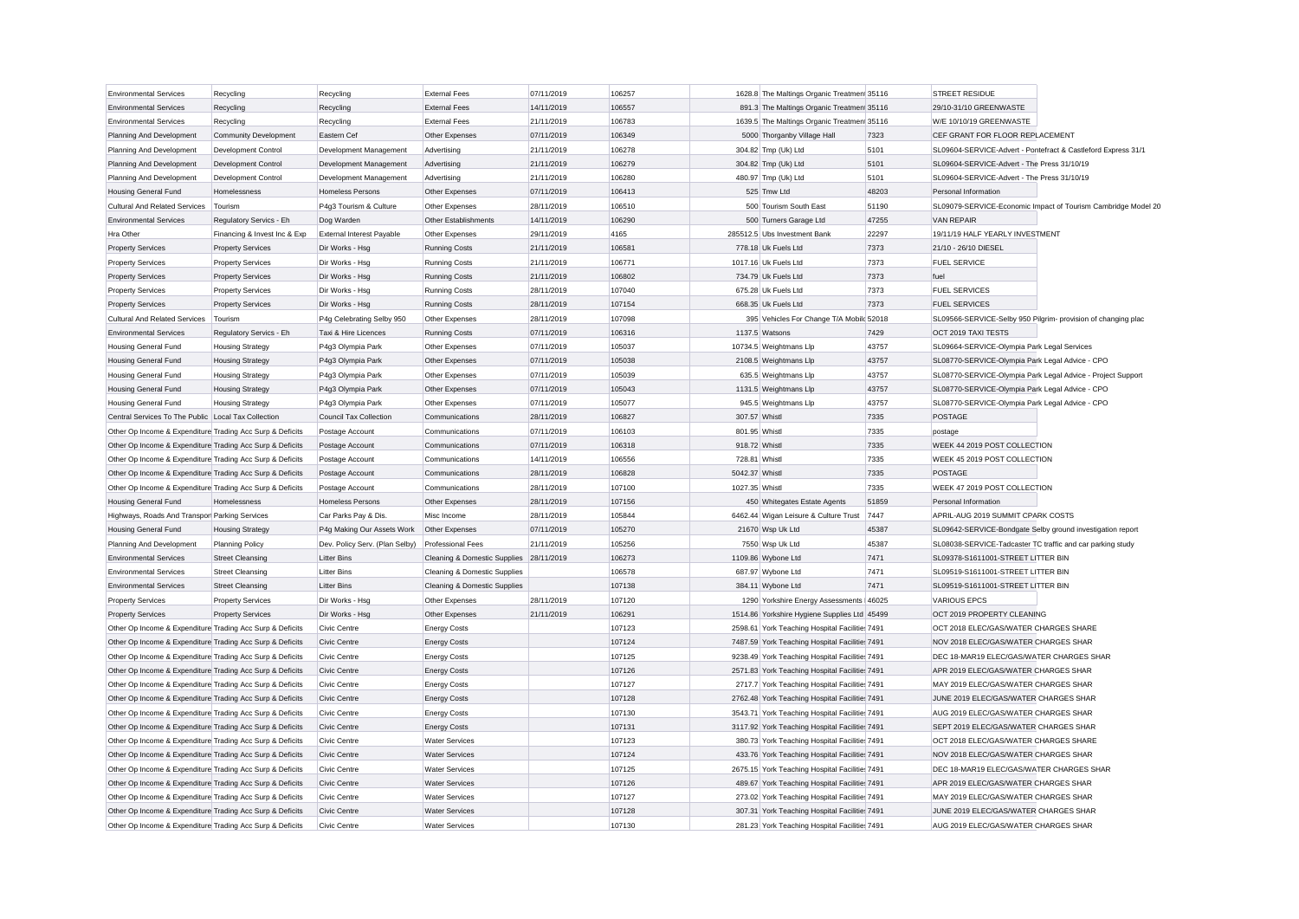| <b>Environmental Services</b>                             | Recycling                    | Recycling                      | <b>External Fees</b>                    | 07/11/2019               | 106257 | 1628.8 The Maltings Organic Treatmen 35116     |                | <b>STREET RESIDUE</b>                                                                                          |
|-----------------------------------------------------------|------------------------------|--------------------------------|-----------------------------------------|--------------------------|--------|------------------------------------------------|----------------|----------------------------------------------------------------------------------------------------------------|
| <b>Environmental Services</b>                             | Recycling                    | Recycling                      | <b>External Fees</b>                    | 14/11/2019               | 106557 | 891.3 The Maltings Organic Treatmen 35116      |                | 29/10-31/10 GREENWASTE                                                                                         |
| <b>Environmental Services</b>                             | Recycling                    | Recycling                      | <b>External Fees</b>                    | 21/11/2019               | 106783 | 1639.5 The Maltings Organic Treatmen 35116     |                | W/E 10/10/19 GREENWASTE                                                                                        |
| Planning And Development                                  | <b>Community Development</b> | Eastern Cef                    | Other Expenses                          | 07/11/2019               | 106349 | 5000 Thorganby Village Hall                    | 7323           | CEF GRANT FOR FLOOR REPLACEMENT                                                                                |
| Planning And Development                                  | <b>Development Control</b>   | Development Management         | Advertising                             | 21/11/2019               | 106278 | 304.82 Tmp (Uk) Ltd                            | 5101           | SL09604-SERVICE-Advert - Pontefract & Castleford Express 31/1                                                  |
| Planning And Development                                  | <b>Development Control</b>   | Development Management         | Advertising                             | 21/11/2019               | 106279 | 304.82 Tmp (Uk) Ltd                            | 5101           | SL09604-SERVICE-Advert - The Press 31/10/19                                                                    |
| Planning And Development                                  | Development Control          | Development Management         | Advertising                             | 21/11/2019               | 106280 | 480.97 Tmp (Uk) Ltd                            | 5101           | SL09604-SERVICE-Advert - The Press 31/10/19                                                                    |
| <b>Housing General Fund</b>                               | Homelessness                 | <b>Homeless Persons</b>        | Other Expenses                          | 07/11/2019               | 106413 | 525 Tmw Ltd                                    | 48203          | Personal Information                                                                                           |
| <b>Cultural And Related Services</b>                      | Tourism                      | P4g3 Tourism & Culture         | Other Expenses                          | 28/11/2019               | 106510 | 500 Tourism South East                         | 51190          | SL09079-SERVICE-Economic Impact of Tourism Cambridge Model 20                                                  |
| <b>Environmental Services</b>                             | Regulatory Servics - Eh      | Dog Warden                     | Other Establishments                    | 14/11/2019               | 106290 | 500 Turners Garage Ltd                         | 47255          | <b>VAN REPAIR</b>                                                                                              |
| Hra Other                                                 | Financing & Invest Inc & Exp | External Interest Payable      | Other Expenses                          | 29/11/2019               | 4165   | 285512.5 Ubs Investment Bank                   | 22297          | 19/11/19 HALF YEARLY INVESTMENT                                                                                |
| <b>Property Services</b>                                  | <b>Property Services</b>     | Dir Works - Hsc                | <b>Running Costs</b>                    | 21/11/2019               | 106581 | 778.18 Uk Fuels Ltd                            | 7373           | 21/10 - 26/10 DIESEL                                                                                           |
| <b>Property Services</b>                                  | <b>Property Services</b>     | Dir Works - Hsg                | <b>Running Costs</b>                    | 21/11/2019               | 106771 | 1017.16 Uk Fuels Ltd                           | 7373           | <b>FUEL SERVICE</b>                                                                                            |
| <b>Property Services</b>                                  | <b>Property Services</b>     | Dir Works - Hsg                | <b>Running Costs</b>                    | 21/11/2019               | 106802 | 734.79 Uk Fuels Ltd                            | 7373           | fuel                                                                                                           |
| <b>Property Services</b>                                  | <b>Property Services</b>     | Dir Works - Hsg                | <b>Running Costs</b>                    | 28/11/2019               | 107040 | 675.28 Uk Fuels Ltd                            | 7373           | <b>FUEL SERVICES</b>                                                                                           |
| <b>Property Services</b>                                  | <b>Property Services</b>     | Dir Works - Hsg                | <b>Running Costs</b>                    | 28/11/2019               | 107154 | 668.35 Uk Fuels Ltd                            | 7373           | <b>FUEL SERVICES</b>                                                                                           |
| <b>Cultural And Related Services</b>                      | Tourism                      | P4g Celebrating Selby 950      | Other Expenses                          | 28/11/2019               | 107098 | 395 Vehicles For Change T/A Mobild 52018       |                | SL09566-SERVICE-Selby 950 Pilgrim- provision of changing plac                                                  |
| <b>Environmental Services</b>                             | Regulatory Servics - Eh      | Taxi & Hire Licences           | <b>Running Costs</b>                    | 07/11/2019               | 106316 | 1137.5 Watsons                                 | 7429           | OCT 2019 TAXI TESTS                                                                                            |
| <b>Housing General Fund</b>                               | <b>Housing Strategy</b>      | P4g3 Olympia Park              | Other Expenses                          | 07/11/2019               | 105037 | 10734.5 Weightmans Llp                         | 43757          | SL09664-SERVICE-Olympia Park Legal Services                                                                    |
|                                                           |                              |                                |                                         |                          | 105038 |                                                |                |                                                                                                                |
| <b>Housing General Fund</b>                               | <b>Housing Strategy</b>      | P4g3 Olympia Park              | Other Expenses<br>Other Expenses        | 07/11/2019<br>07/11/2019 | 105039 | 2108.5 Weightmans Llp                          | 43757<br>43757 | SL08770-SERVICE-Olympia Park Legal Advice - CPO                                                                |
| <b>Housing General Fund</b>                               | <b>Housing Strategy</b>      | P4g3 Olympia Park              | Other Expenses                          |                          | 105043 | 635.5 Weightmans Llp<br>1131.5 Weightmans Llp  | 43757          | SL08770-SERVICE-Olympia Park Legal Advice - Project Support<br>SL08770-SERVICE-Olympia Park Legal Advice - CPO |
| <b>Housing General Fund</b>                               | <b>Housing Strategy</b>      | P4g3 Olympia Park              |                                         | 07/11/2019               |        |                                                |                |                                                                                                                |
| <b>Housing General Fund</b>                               | <b>Housing Strategy</b>      | P4g3 Olympia Park              | Other Expenses                          | 07/11/2019               | 105077 | 945.5 Weightmans Llp                           | 43757          | SL08770-SERVICE-Olympia Park Legal Advice - CPO                                                                |
| Central Services To The Public Local Tax Collection       |                              | <b>Council Tax Collection</b>  | Communications                          | 28/11/2019               | 106827 | 307.57 Whistl                                  | 7335           | POSTAGE                                                                                                        |
| Other Op Income & Expenditure Trading Acc Surp & Deficits |                              | Postage Account                | Communications                          | 07/11/2019               | 106103 | 801.95 Whistl                                  | 7335           | postage                                                                                                        |
| Other Op Income & Expenditure Trading Acc Surp & Deficits |                              | Postage Account                | Communications                          | 07/11/2019               | 106318 | 918.72 Whistl                                  | 7335           | WEEK 44 2019 POST COLLECTION                                                                                   |
| Other Op Income & Expenditure Trading Acc Surp & Deficits |                              | Postage Account                | Communications                          | 14/11/2019               | 106556 | 728.81 Whistl                                  | 7335           | WEEK 45 2019 POST COLLECTION                                                                                   |
| Other Op Income & Expenditure Trading Acc Surp & Deficits |                              | Postage Account                | Communications                          | 28/11/2019               | 106828 | 5042.37 Whistl                                 | 7335           | <b>POSTAGE</b>                                                                                                 |
| Other Op Income & Expenditure Trading Acc Surp & Deficits |                              | Postage Account                | Communications                          | 28/11/2019               | 107100 | 1027.35 Whistl                                 | 7335           | WEEK 47 2019 POST COLLECTION                                                                                   |
| <b>Housing General Fund</b>                               | Homelessness                 | <b>Homeless Persons</b>        | Other Expenses                          | 28/11/2019               | 107156 | 450 Whitegates Estate Agents                   | 51859          | Personal Information                                                                                           |
| Highways, Roads And Transpor Parking Services             |                              | Car Parks Pay & Dis            | Misc Income                             | 28/11/2019               | 105844 | 6462.44 Wigan Leisure & Culture Trust 7447     |                | APRIL-AUG 2019 SUMMIT CPARK COSTS                                                                              |
| <b>Housing General Fund</b>                               | <b>Housing Strategy</b>      | P4g Making Our Assets Work     | Other Expenses                          | 07/11/2019               | 105270 | 21670 Wsp Uk Ltd                               | 45387          | SL09642-SERVICE-Bondgate Selby ground investigation report                                                     |
| Planning And Development                                  | <b>Planning Policy</b>       | Dev. Policy Serv. (Plan Selby) | <b>Professional Fees</b>                | 21/11/2019               | 105256 | 7550 Wsp Uk Ltd                                | 45387          | SL08038-SERVICE-Tadcaster TC traffic and car parking study                                                     |
| <b>Environmental Services</b>                             | <b>Street Cleansing</b>      | <b>Litter Bins</b>             | Cleaning & Domestic Supplies 28/11/2019 |                          | 106273 | 1109.86 Wybone Ltd                             | 7471           | SL09378-S1611001-STREET LITTER BIN                                                                             |
| <b>Environmental Services</b>                             | <b>Street Cleansing</b>      | <b>Litter Bins</b>             | Cleaning & Domestic Supplies            |                          | 106578 | 687.97 Wybone Ltd                              | 7471           | SL09519-S1611001-STREET LITTER BIN                                                                             |
| <b>Environmental Services</b>                             | <b>Street Cleansing</b>      | <b>Litter Bins</b>             | Cleaning & Domestic Supplies            |                          | 107138 | 384.11 Wybone Ltd                              | 7471           | SL09519-S1611001-STREET LITTER BIN                                                                             |
| <b>Property Services</b>                                  | <b>Property Services</b>     | Dir Works - Hsg                | Other Expenses                          | 28/11/2019               | 107120 | 1290 Yorkshire Energy Assessments 46025        |                | <b>VARIOUS EPCS</b>                                                                                            |
| <b>Property Services</b>                                  | <b>Property Services</b>     | Dir Works - Hsg                | Other Expenses                          | 21/11/2019               | 106291 | 1514.86 Yorkshire Hygiene Supplies Ltd 45499   |                | OCT 2019 PROPERTY CLEANING                                                                                     |
| Other Op Income & Expenditure Trading Acc Surp & Deficits |                              | <b>Civic Centre</b>            | <b>Energy Costs</b>                     |                          | 107123 | 2598.61 York Teaching Hospital Facilitie: 7491 |                | OCT 2018 ELEC/GAS/WATER CHARGES SHARE                                                                          |
| Other Op Income & Expenditure Trading Acc Surp & Deficits |                              | Civic Centre                   | <b>Energy Costs</b>                     |                          | 107124 | 7487.59 York Teaching Hospital Facilitie: 7491 |                | NOV 2018 ELEC/GAS/WATER CHARGES SHAR                                                                           |
| Other Op Income & Expenditure Trading Acc Surp & Deficits |                              | Civic Centre                   | <b>Energy Costs</b>                     |                          | 107125 | 9238.49 York Teaching Hospital Facilitie: 7491 |                | DEC 18-MAR19 ELEC/GAS/WATER CHARGES SHAR                                                                       |
| Other Op Income & Expenditure Trading Acc Surp & Deficits |                              | <b>Civic Centre</b>            | <b>Energy Costs</b>                     |                          | 107126 | 2571.83 York Teaching Hospital Facilitie: 7491 |                | APR 2019 ELEC/GAS/WATER CHARGES SHAR                                                                           |
| Other Op Income & Expenditure Trading Acc Surp & Deficits |                              | Civic Centre                   | <b>Energy Costs</b>                     |                          | 107127 | 2717.7 York Teaching Hospital Facilitie: 7491  |                | MAY 2019 ELEC/GAS/WATER CHARGES SHAR                                                                           |
| Other Op Income & Expenditure Trading Acc Surp & Deficits |                              | Civic Centre                   | <b>Energy Costs</b>                     |                          | 107128 | 2762.48 York Teaching Hospital Facilitie: 7491 |                | JUNE 2019 ELEC/GAS/WATER CHARGES SHAR                                                                          |
| Other Op Income & Expenditure Trading Acc Surp & Deficits |                              | <b>Civic Centre</b>            | <b>Energy Costs</b>                     |                          | 107130 | 3543.71 York Teaching Hospital Facilitie: 7491 |                | AUG 2019 ELEC/GAS/WATER CHARGES SHAR                                                                           |
| Other Op Income & Expenditure Trading Acc Surp & Deficits |                              | Civic Centre                   | <b>Energy Costs</b>                     |                          | 107131 | 3117.92 York Teaching Hospital Facilitie: 7491 |                | SEPT 2019 ELEC/GAS/WATER CHARGES SHAR                                                                          |
| Other Op Income & Expenditure Trading Acc Surp & Deficits |                              | Civic Centre                   | <b>Water Services</b>                   |                          | 107123 | 380.73 York Teaching Hospital Facilitie: 7491  |                | OCT 2018 ELEC/GAS/WATER CHARGES SHARE                                                                          |
| Other Op Income & Expenditure Trading Acc Surp & Deficits |                              | <b>Civic Centre</b>            | <b>Water Services</b>                   |                          | 107124 | 433.76 York Teaching Hospital Facilitie: 7491  |                | NOV 2018 ELEC/GAS/WATER CHARGES SHAR                                                                           |
| Other Op Income & Expenditure Trading Acc Surp & Deficits |                              | Civic Centre                   | <b>Water Services</b>                   |                          | 107125 | 2675.15 York Teaching Hospital Facilitie: 7491 |                | DEC 18-MAR19 ELEC/GAS/WATER CHARGES SHAR                                                                       |
| Other Op Income & Expenditure Trading Acc Surp & Deficits |                              | Civic Centre                   | <b>Water Services</b>                   |                          | 107126 | 489.67 York Teaching Hospital Facilitie: 7491  |                | APR 2019 ELEC/GAS/WATER CHARGES SHAR                                                                           |
| Other Op Income & Expenditure Trading Acc Surp & Deficits |                              | Civic Centre                   | <b>Water Services</b>                   |                          | 107127 | 273.02 York Teaching Hospital Facilitie: 7491  |                | MAY 2019 ELEC/GAS/WATER CHARGES SHAR                                                                           |
| Other Op Income & Expenditure Trading Acc Surp & Deficits |                              | Civic Centre                   | <b>Water Services</b>                   |                          | 107128 | 307.31 York Teaching Hospital Facilitie: 7491  |                | JUNE 2019 ELEC/GAS/WATER CHARGES SHAR                                                                          |
| Other Op Income & Expenditure Trading Acc Surp & Deficits |                              | Civic Centre                   | <b>Water Services</b>                   |                          | 107130 | 281.23 York Teaching Hospital Facilitie: 7491  |                | AUG 2019 ELEC/GAS/WATER CHARGES SHAR                                                                           |
|                                                           |                              |                                |                                         |                          |        |                                                |                |                                                                                                                |